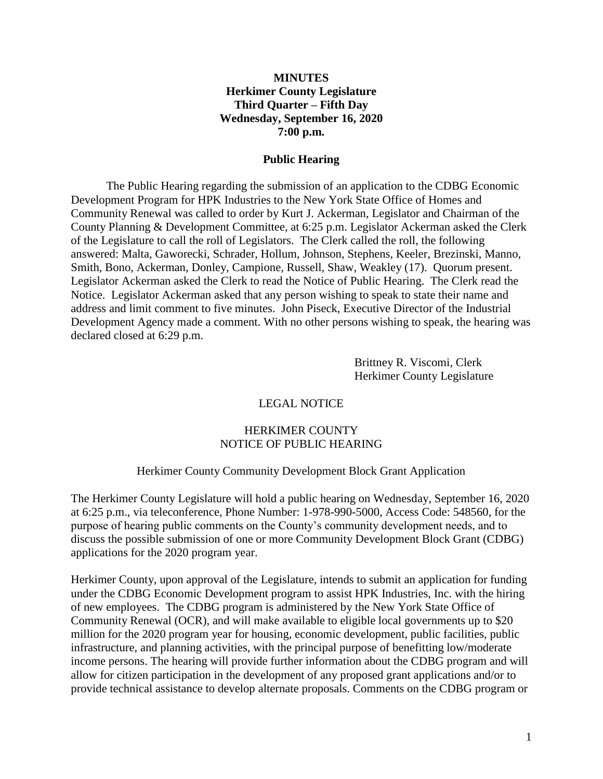## **MINUTES Herkimer County Legislature Third Quarter – Fifth Day Wednesday, September 16, 2020 7:00 p.m.**

#### **Public Hearing**

The Public Hearing regarding the submission of an application to the CDBG Economic Development Program for HPK Industries to the New York State Office of Homes and Community Renewal was called to order by Kurt J. Ackerman, Legislator and Chairman of the County Planning & Development Committee, at 6:25 p.m. Legislator Ackerman asked the Clerk of the Legislature to call the roll of Legislators. The Clerk called the roll, the following answered: Malta, Gaworecki, Schrader, Hollum, Johnson, Stephens, Keeler, Brezinski, Manno, Smith, Bono, Ackerman, Donley, Campione, Russell, Shaw, Weakley (17). Quorum present. Legislator Ackerman asked the Clerk to read the Notice of Public Hearing. The Clerk read the Notice. Legislator Ackerman asked that any person wishing to speak to state their name and address and limit comment to five minutes. John Piseck, Executive Director of the Industrial Development Agency made a comment. With no other persons wishing to speak, the hearing was declared closed at 6:29 p.m.

> Brittney R. Viscomi, Clerk Herkimer County Legislature

#### LEGAL NOTICE

#### HERKIMER COUNTY NOTICE OF PUBLIC HEARING

#### Herkimer County Community Development Block Grant Application

The Herkimer County Legislature will hold a public hearing on Wednesday, September 16, 2020 at 6:25 p.m., via teleconference, Phone Number: 1-978-990-5000, Access Code: 548560, for the purpose of hearing public comments on the County's community development needs, and to discuss the possible submission of one or more Community Development Block Grant (CDBG) applications for the 2020 program year.

Herkimer County, upon approval of the Legislature, intends to submit an application for funding under the CDBG Economic Development program to assist HPK Industries, Inc. with the hiring of new employees. The CDBG program is administered by the New York State Office of Community Renewal (OCR), and will make available to eligible local governments up to \$20 million for the 2020 program year for housing, economic development, public facilities, public infrastructure, and planning activities, with the principal purpose of benefitting low/moderate income persons. The hearing will provide further information about the CDBG program and will allow for citizen participation in the development of any proposed grant applications and/or to provide technical assistance to develop alternate proposals. Comments on the CDBG program or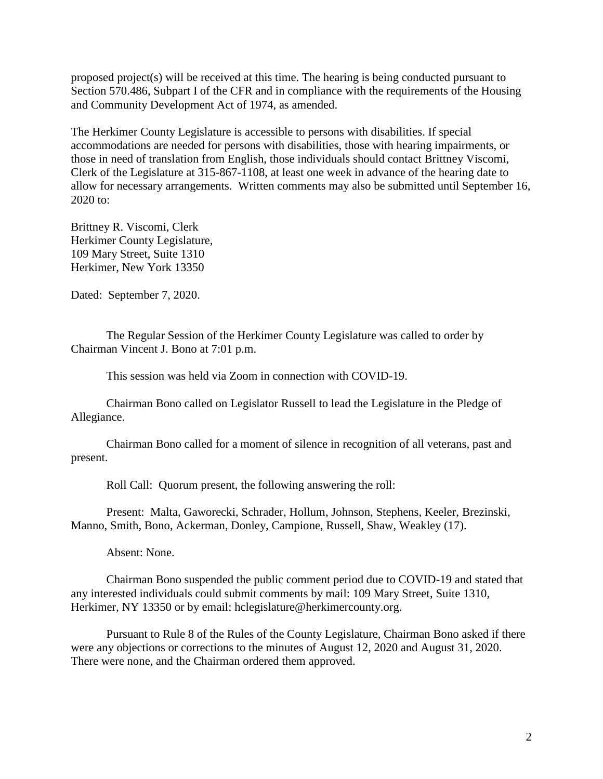proposed project(s) will be received at this time. The hearing is being conducted pursuant to Section 570.486, Subpart I of the CFR and in compliance with the requirements of the Housing and Community Development Act of 1974, as amended.

The Herkimer County Legislature is accessible to persons with disabilities. If special accommodations are needed for persons with disabilities, those with hearing impairments, or those in need of translation from English, those individuals should contact Brittney Viscomi, Clerk of the Legislature at 315-867-1108, at least one week in advance of the hearing date to allow for necessary arrangements. Written comments may also be submitted until September 16, 2020 to:

Brittney R. Viscomi, Clerk Herkimer County Legislature, 109 Mary Street, Suite 1310 Herkimer, New York 13350

Dated: September 7, 2020.

The Regular Session of the Herkimer County Legislature was called to order by Chairman Vincent J. Bono at 7:01 p.m.

This session was held via Zoom in connection with COVID-19.

Chairman Bono called on Legislator Russell to lead the Legislature in the Pledge of Allegiance.

Chairman Bono called for a moment of silence in recognition of all veterans, past and present.

Roll Call: Quorum present, the following answering the roll:

Present: Malta, Gaworecki, Schrader, Hollum, Johnson, Stephens, Keeler, Brezinski, Manno, Smith, Bono, Ackerman, Donley, Campione, Russell, Shaw, Weakley (17).

Absent: None.

Chairman Bono suspended the public comment period due to COVID-19 and stated that any interested individuals could submit comments by mail: 109 Mary Street, Suite 1310, Herkimer, NY 13350 or by email: hclegislature@herkimercounty.org.

Pursuant to Rule 8 of the Rules of the County Legislature, Chairman Bono asked if there were any objections or corrections to the minutes of August 12, 2020 and August 31, 2020. There were none, and the Chairman ordered them approved.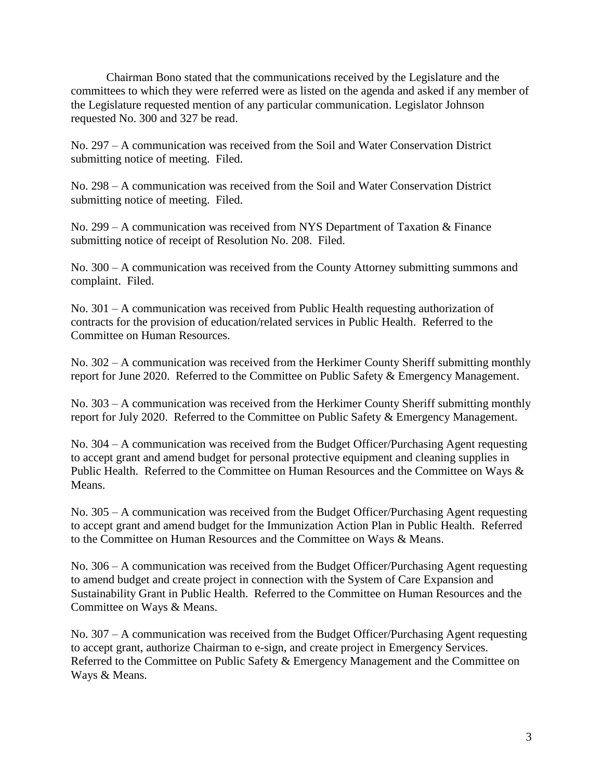Chairman Bono stated that the communications received by the Legislature and the committees to which they were referred were as listed on the agenda and asked if any member of the Legislature requested mention of any particular communication. Legislator Johnson requested No. 300 and 327 be read.

No. 297 – A communication was received from the Soil and Water Conservation District submitting notice of meeting. Filed.

No. 298 – A communication was received from the Soil and Water Conservation District submitting notice of meeting. Filed.

No. 299 – A communication was received from NYS Department of Taxation & Finance submitting notice of receipt of Resolution No. 208. Filed.

No. 300 – A communication was received from the County Attorney submitting summons and complaint. Filed.

No. 301 – A communication was received from Public Health requesting authorization of contracts for the provision of education/related services in Public Health. Referred to the Committee on Human Resources.

No. 302 – A communication was received from the Herkimer County Sheriff submitting monthly report for June 2020. Referred to the Committee on Public Safety & Emergency Management.

No. 303 – A communication was received from the Herkimer County Sheriff submitting monthly report for July 2020. Referred to the Committee on Public Safety & Emergency Management.

No. 304 – A communication was received from the Budget Officer/Purchasing Agent requesting to accept grant and amend budget for personal protective equipment and cleaning supplies in Public Health. Referred to the Committee on Human Resources and the Committee on Ways & Means.

No. 305 – A communication was received from the Budget Officer/Purchasing Agent requesting to accept grant and amend budget for the Immunization Action Plan in Public Health. Referred to the Committee on Human Resources and the Committee on Ways & Means.

No. 306 – A communication was received from the Budget Officer/Purchasing Agent requesting to amend budget and create project in connection with the System of Care Expansion and Sustainability Grant in Public Health. Referred to the Committee on Human Resources and the Committee on Ways & Means.

No. 307 – A communication was received from the Budget Officer/Purchasing Agent requesting to accept grant, authorize Chairman to e-sign, and create project in Emergency Services. Referred to the Committee on Public Safety & Emergency Management and the Committee on Ways & Means.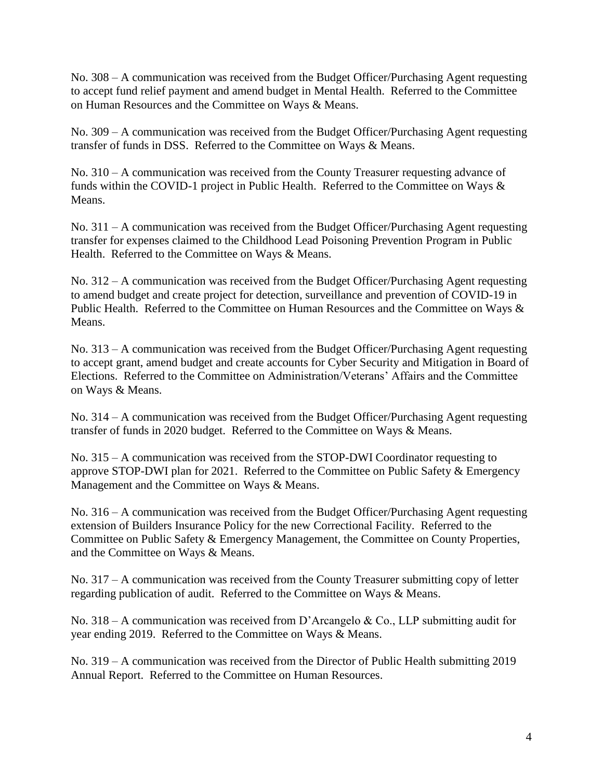No. 308 – A communication was received from the Budget Officer/Purchasing Agent requesting to accept fund relief payment and amend budget in Mental Health. Referred to the Committee on Human Resources and the Committee on Ways & Means.

No. 309 – A communication was received from the Budget Officer/Purchasing Agent requesting transfer of funds in DSS. Referred to the Committee on Ways & Means.

No. 310 – A communication was received from the County Treasurer requesting advance of funds within the COVID-1 project in Public Health. Referred to the Committee on Ways & Means.

No. 311 – A communication was received from the Budget Officer/Purchasing Agent requesting transfer for expenses claimed to the Childhood Lead Poisoning Prevention Program in Public Health. Referred to the Committee on Ways & Means.

No. 312 – A communication was received from the Budget Officer/Purchasing Agent requesting to amend budget and create project for detection, surveillance and prevention of COVID-19 in Public Health. Referred to the Committee on Human Resources and the Committee on Ways & Means.

No. 313 – A communication was received from the Budget Officer/Purchasing Agent requesting to accept grant, amend budget and create accounts for Cyber Security and Mitigation in Board of Elections. Referred to the Committee on Administration/Veterans' Affairs and the Committee on Ways & Means.

No. 314 – A communication was received from the Budget Officer/Purchasing Agent requesting transfer of funds in 2020 budget. Referred to the Committee on Ways & Means.

No. 315 – A communication was received from the STOP-DWI Coordinator requesting to approve STOP-DWI plan for 2021. Referred to the Committee on Public Safety & Emergency Management and the Committee on Ways & Means.

No. 316 – A communication was received from the Budget Officer/Purchasing Agent requesting extension of Builders Insurance Policy for the new Correctional Facility. Referred to the Committee on Public Safety & Emergency Management, the Committee on County Properties, and the Committee on Ways & Means.

No. 317 – A communication was received from the County Treasurer submitting copy of letter regarding publication of audit. Referred to the Committee on Ways & Means.

No. 318 – A communication was received from D'Arcangelo & Co., LLP submitting audit for year ending 2019. Referred to the Committee on Ways & Means.

No. 319 – A communication was received from the Director of Public Health submitting 2019 Annual Report. Referred to the Committee on Human Resources.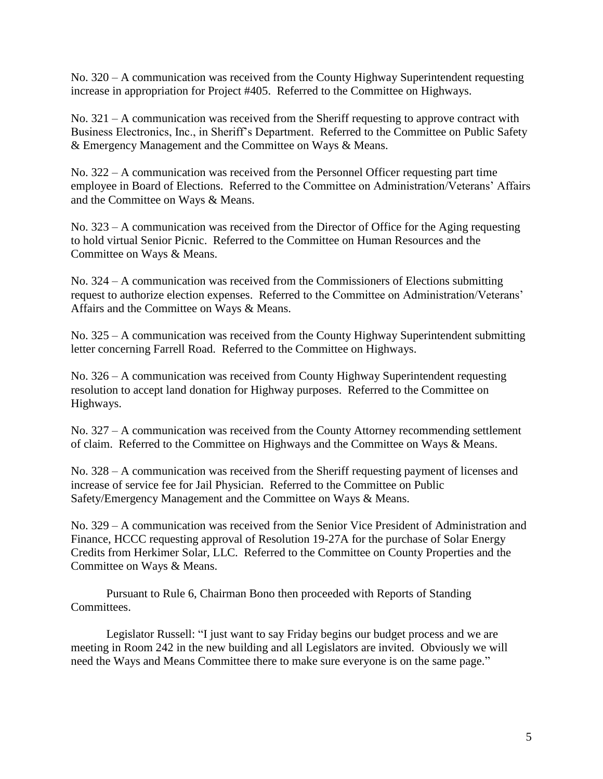No. 320 – A communication was received from the County Highway Superintendent requesting increase in appropriation for Project #405. Referred to the Committee on Highways.

No. 321 – A communication was received from the Sheriff requesting to approve contract with Business Electronics, Inc., in Sheriff's Department. Referred to the Committee on Public Safety & Emergency Management and the Committee on Ways & Means.

No. 322 – A communication was received from the Personnel Officer requesting part time employee in Board of Elections. Referred to the Committee on Administration/Veterans' Affairs and the Committee on Ways & Means.

No. 323 – A communication was received from the Director of Office for the Aging requesting to hold virtual Senior Picnic. Referred to the Committee on Human Resources and the Committee on Ways & Means.

No. 324 – A communication was received from the Commissioners of Elections submitting request to authorize election expenses. Referred to the Committee on Administration/Veterans' Affairs and the Committee on Ways & Means.

No. 325 – A communication was received from the County Highway Superintendent submitting letter concerning Farrell Road. Referred to the Committee on Highways.

No. 326 – A communication was received from County Highway Superintendent requesting resolution to accept land donation for Highway purposes. Referred to the Committee on Highways.

No. 327 – A communication was received from the County Attorney recommending settlement of claim. Referred to the Committee on Highways and the Committee on Ways & Means.

No. 328 – A communication was received from the Sheriff requesting payment of licenses and increase of service fee for Jail Physician. Referred to the Committee on Public Safety/Emergency Management and the Committee on Ways & Means.

No. 329 – A communication was received from the Senior Vice President of Administration and Finance, HCCC requesting approval of Resolution 19-27A for the purchase of Solar Energy Credits from Herkimer Solar, LLC. Referred to the Committee on County Properties and the Committee on Ways & Means.

Pursuant to Rule 6, Chairman Bono then proceeded with Reports of Standing Committees.

Legislator Russell: "I just want to say Friday begins our budget process and we are meeting in Room 242 in the new building and all Legislators are invited. Obviously we will need the Ways and Means Committee there to make sure everyone is on the same page."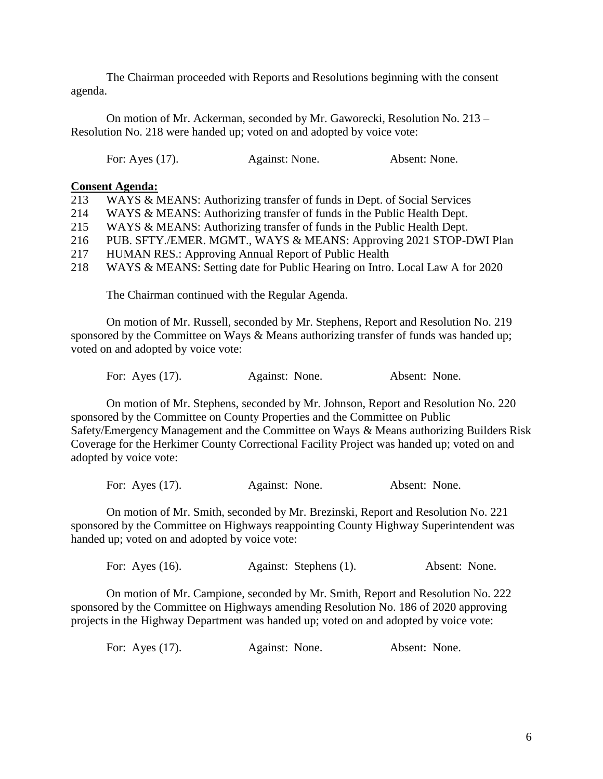The Chairman proceeded with Reports and Resolutions beginning with the consent agenda.

On motion of Mr. Ackerman, seconded by Mr. Gaworecki, Resolution No. 213 – Resolution No. 218 were handed up; voted on and adopted by voice vote:

| For: Ayes $(17)$ .<br>Against: None. | Absent: None. |
|--------------------------------------|---------------|
|--------------------------------------|---------------|

#### **Consent Agenda:**

| 213 | WAYS & MEANS: Authorizing transfer of funds in Dept. of Social Services |  |  |  |  |
|-----|-------------------------------------------------------------------------|--|--|--|--|
|-----|-------------------------------------------------------------------------|--|--|--|--|

- 214 WAYS & MEANS: Authorizing transfer of funds in the Public Health Dept.
- 215 WAYS & MEANS: Authorizing transfer of funds in the Public Health Dept.
- 216 PUB. SFTY./EMER. MGMT., WAYS & MEANS: Approving 2021 STOP-DWI Plan
- 217 HUMAN RES.: Approving Annual Report of Public Health
- 218 WAYS & MEANS: Setting date for Public Hearing on Intro. Local Law A for 2020

The Chairman continued with the Regular Agenda.

On motion of Mr. Russell, seconded by Mr. Stephens, Report and Resolution No. 219 sponsored by the Committee on Ways & Means authorizing transfer of funds was handed up; voted on and adopted by voice vote:

For: Ayes (17). Against: None. Absent: None.

On motion of Mr. Stephens, seconded by Mr. Johnson, Report and Resolution No. 220 sponsored by the Committee on County Properties and the Committee on Public Safety/Emergency Management and the Committee on Ways & Means authorizing Builders Risk Coverage for the Herkimer County Correctional Facility Project was handed up; voted on and adopted by voice vote:

For: Ayes (17). Against: None. Absent: None.

On motion of Mr. Smith, seconded by Mr. Brezinski, Report and Resolution No. 221 sponsored by the Committee on Highways reappointing County Highway Superintendent was handed up; voted on and adopted by voice vote:

| For: Ayes $(16)$ . | Against: Stephens (1). | Absent: None. |
|--------------------|------------------------|---------------|
|                    |                        |               |

On motion of Mr. Campione, seconded by Mr. Smith, Report and Resolution No. 222 sponsored by the Committee on Highways amending Resolution No. 186 of 2020 approving projects in the Highway Department was handed up; voted on and adopted by voice vote:

| For: Ayes $(17)$ . | Against: None. | Absent: None. |
|--------------------|----------------|---------------|
|--------------------|----------------|---------------|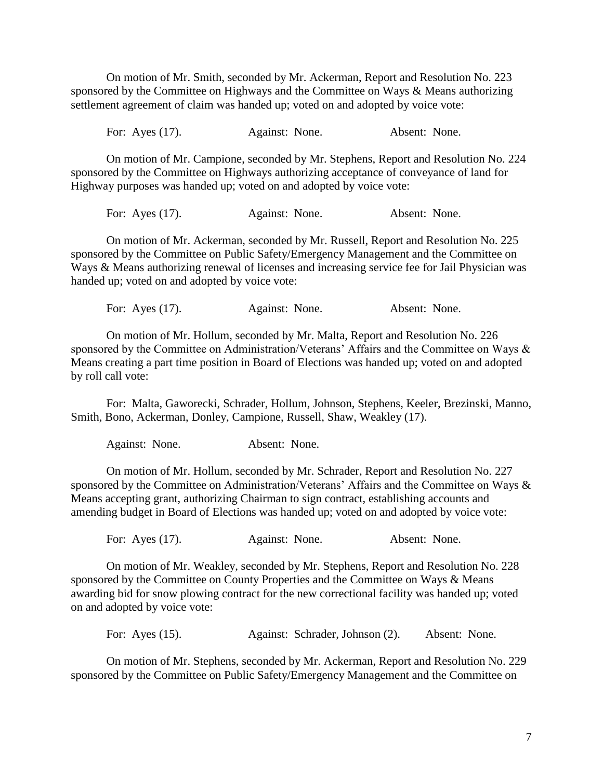On motion of Mr. Smith, seconded by Mr. Ackerman, Report and Resolution No. 223 sponsored by the Committee on Highways and the Committee on Ways & Means authorizing settlement agreement of claim was handed up; voted on and adopted by voice vote:

For: Ayes (17). Against: None. Absent: None.

On motion of Mr. Campione, seconded by Mr. Stephens, Report and Resolution No. 224 sponsored by the Committee on Highways authorizing acceptance of conveyance of land for Highway purposes was handed up; voted on and adopted by voice vote:

For: Ayes (17). Against: None. Absent: None.

On motion of Mr. Ackerman, seconded by Mr. Russell, Report and Resolution No. 225 sponsored by the Committee on Public Safety/Emergency Management and the Committee on Ways & Means authorizing renewal of licenses and increasing service fee for Jail Physician was handed up; voted on and adopted by voice vote:

For: Ayes (17). Against: None. Absent: None.

On motion of Mr. Hollum, seconded by Mr. Malta, Report and Resolution No. 226 sponsored by the Committee on Administration/Veterans' Affairs and the Committee on Ways & Means creating a part time position in Board of Elections was handed up; voted on and adopted by roll call vote:

For: Malta, Gaworecki, Schrader, Hollum, Johnson, Stephens, Keeler, Brezinski, Manno, Smith, Bono, Ackerman, Donley, Campione, Russell, Shaw, Weakley (17).

Against: None. Absent: None.

On motion of Mr. Hollum, seconded by Mr. Schrader, Report and Resolution No. 227 sponsored by the Committee on Administration/Veterans' Affairs and the Committee on Ways & Means accepting grant, authorizing Chairman to sign contract, establishing accounts and amending budget in Board of Elections was handed up; voted on and adopted by voice vote:

For: Ayes (17). Against: None. Absent: None.

On motion of Mr. Weakley, seconded by Mr. Stephens, Report and Resolution No. 228 sponsored by the Committee on County Properties and the Committee on Ways & Means awarding bid for snow plowing contract for the new correctional facility was handed up; voted on and adopted by voice vote:

For: Ayes (15). Against: Schrader, Johnson (2). Absent: None.

On motion of Mr. Stephens, seconded by Mr. Ackerman, Report and Resolution No. 229 sponsored by the Committee on Public Safety/Emergency Management and the Committee on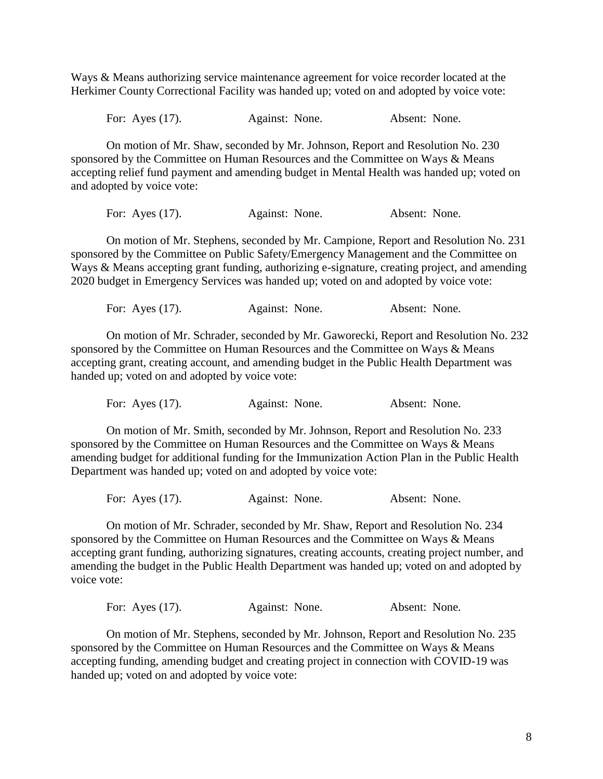Ways & Means authorizing service maintenance agreement for voice recorder located at the Herkimer County Correctional Facility was handed up; voted on and adopted by voice vote:

For: Ayes (17). Against: None. Absent: None.

On motion of Mr. Shaw, seconded by Mr. Johnson, Report and Resolution No. 230 sponsored by the Committee on Human Resources and the Committee on Ways & Means accepting relief fund payment and amending budget in Mental Health was handed up; voted on and adopted by voice vote:

For: Ayes (17). Against: None. Absent: None.

On motion of Mr. Stephens, seconded by Mr. Campione, Report and Resolution No. 231 sponsored by the Committee on Public Safety/Emergency Management and the Committee on Ways & Means accepting grant funding, authorizing e-signature, creating project, and amending 2020 budget in Emergency Services was handed up; voted on and adopted by voice vote:

For: Ayes (17). Against: None. Absent: None.

On motion of Mr. Schrader, seconded by Mr. Gaworecki, Report and Resolution No. 232 sponsored by the Committee on Human Resources and the Committee on Ways & Means accepting grant, creating account, and amending budget in the Public Health Department was handed up; voted on and adopted by voice vote:

For: Ayes (17). Against: None. Absent: None.

On motion of Mr. Smith, seconded by Mr. Johnson, Report and Resolution No. 233 sponsored by the Committee on Human Resources and the Committee on Ways & Means amending budget for additional funding for the Immunization Action Plan in the Public Health Department was handed up; voted on and adopted by voice vote:

For: Ayes (17). Against: None. Absent: None.

On motion of Mr. Schrader, seconded by Mr. Shaw, Report and Resolution No. 234 sponsored by the Committee on Human Resources and the Committee on Ways & Means accepting grant funding, authorizing signatures, creating accounts, creating project number, and amending the budget in the Public Health Department was handed up; voted on and adopted by voice vote:

For: Ayes (17). Against: None. Absent: None.

On motion of Mr. Stephens, seconded by Mr. Johnson, Report and Resolution No. 235 sponsored by the Committee on Human Resources and the Committee on Ways & Means accepting funding, amending budget and creating project in connection with COVID-19 was handed up; voted on and adopted by voice vote: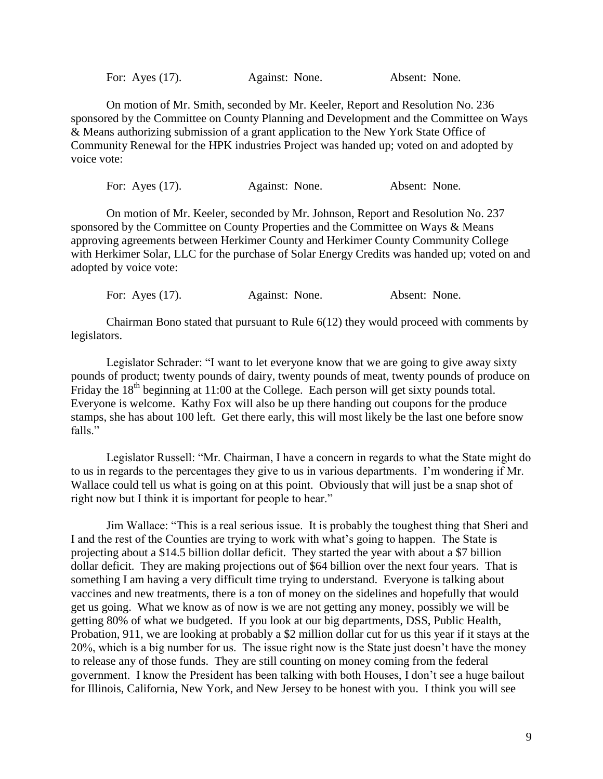For: Ayes (17). Against: None. Absent: None.

On motion of Mr. Smith, seconded by Mr. Keeler, Report and Resolution No. 236 sponsored by the Committee on County Planning and Development and the Committee on Ways & Means authorizing submission of a grant application to the New York State Office of Community Renewal for the HPK industries Project was handed up; voted on and adopted by voice vote:

For: Ayes (17). Against: None. Absent: None.

On motion of Mr. Keeler, seconded by Mr. Johnson, Report and Resolution No. 237 sponsored by the Committee on County Properties and the Committee on Ways & Means approving agreements between Herkimer County and Herkimer County Community College with Herkimer Solar, LLC for the purchase of Solar Energy Credits was handed up; voted on and adopted by voice vote:

For: Ayes (17). Against: None. Absent: None.

Chairman Bono stated that pursuant to Rule 6(12) they would proceed with comments by legislators.

Legislator Schrader: "I want to let everyone know that we are going to give away sixty pounds of product; twenty pounds of dairy, twenty pounds of meat, twenty pounds of produce on Friday the  $18<sup>th</sup>$  beginning at 11:00 at the College. Each person will get sixty pounds total. Everyone is welcome. Kathy Fox will also be up there handing out coupons for the produce stamps, she has about 100 left. Get there early, this will most likely be the last one before snow falls."

Legislator Russell: "Mr. Chairman, I have a concern in regards to what the State might do to us in regards to the percentages they give to us in various departments. I'm wondering if Mr. Wallace could tell us what is going on at this point. Obviously that will just be a snap shot of right now but I think it is important for people to hear."

Jim Wallace: "This is a real serious issue. It is probably the toughest thing that Sheri and I and the rest of the Counties are trying to work with what's going to happen. The State is projecting about a \$14.5 billion dollar deficit. They started the year with about a \$7 billion dollar deficit. They are making projections out of \$64 billion over the next four years. That is something I am having a very difficult time trying to understand. Everyone is talking about vaccines and new treatments, there is a ton of money on the sidelines and hopefully that would get us going. What we know as of now is we are not getting any money, possibly we will be getting 80% of what we budgeted. If you look at our big departments, DSS, Public Health, Probation, 911, we are looking at probably a \$2 million dollar cut for us this year if it stays at the 20%, which is a big number for us. The issue right now is the State just doesn't have the money to release any of those funds. They are still counting on money coming from the federal government. I know the President has been talking with both Houses, I don't see a huge bailout for Illinois, California, New York, and New Jersey to be honest with you. I think you will see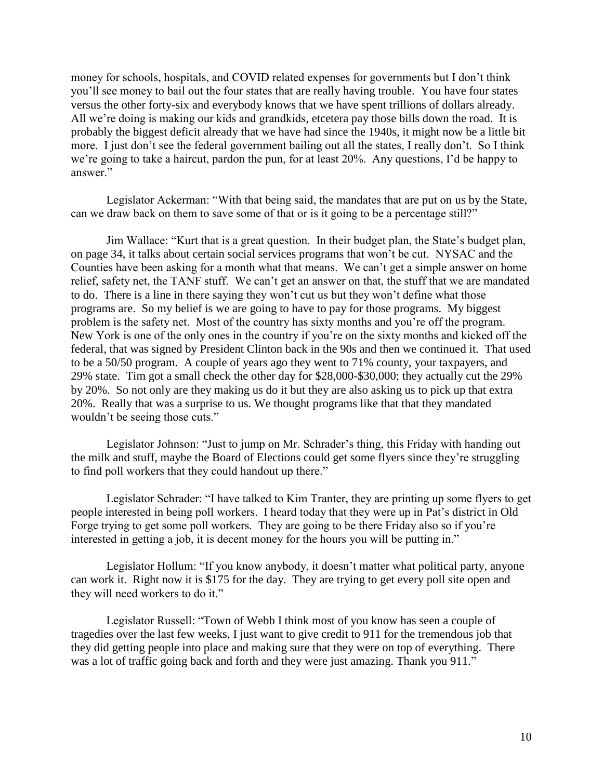money for schools, hospitals, and COVID related expenses for governments but I don't think you'll see money to bail out the four states that are really having trouble. You have four states versus the other forty-six and everybody knows that we have spent trillions of dollars already. All we're doing is making our kids and grandkids, etcetera pay those bills down the road. It is probably the biggest deficit already that we have had since the 1940s, it might now be a little bit more. I just don't see the federal government bailing out all the states, I really don't. So I think we're going to take a haircut, pardon the pun, for at least 20%. Any questions, I'd be happy to answer."

Legislator Ackerman: "With that being said, the mandates that are put on us by the State, can we draw back on them to save some of that or is it going to be a percentage still?"

Jim Wallace: "Kurt that is a great question. In their budget plan, the State's budget plan, on page 34, it talks about certain social services programs that won't be cut. NYSAC and the Counties have been asking for a month what that means. We can't get a simple answer on home relief, safety net, the TANF stuff. We can't get an answer on that, the stuff that we are mandated to do. There is a line in there saying they won't cut us but they won't define what those programs are. So my belief is we are going to have to pay for those programs. My biggest problem is the safety net. Most of the country has sixty months and you're off the program. New York is one of the only ones in the country if you're on the sixty months and kicked off the federal, that was signed by President Clinton back in the 90s and then we continued it. That used to be a 50/50 program. A couple of years ago they went to 71% county, your taxpayers, and 29% state. Tim got a small check the other day for \$28,000-\$30,000; they actually cut the 29% by 20%. So not only are they making us do it but they are also asking us to pick up that extra 20%. Really that was a surprise to us. We thought programs like that that they mandated wouldn't be seeing those cuts."

Legislator Johnson: "Just to jump on Mr. Schrader's thing, this Friday with handing out the milk and stuff, maybe the Board of Elections could get some flyers since they're struggling to find poll workers that they could handout up there."

Legislator Schrader: "I have talked to Kim Tranter, they are printing up some flyers to get people interested in being poll workers. I heard today that they were up in Pat's district in Old Forge trying to get some poll workers. They are going to be there Friday also so if you're interested in getting a job, it is decent money for the hours you will be putting in."

Legislator Hollum: "If you know anybody, it doesn't matter what political party, anyone can work it. Right now it is \$175 for the day. They are trying to get every poll site open and they will need workers to do it."

Legislator Russell: "Town of Webb I think most of you know has seen a couple of tragedies over the last few weeks, I just want to give credit to 911 for the tremendous job that they did getting people into place and making sure that they were on top of everything. There was a lot of traffic going back and forth and they were just amazing. Thank you 911."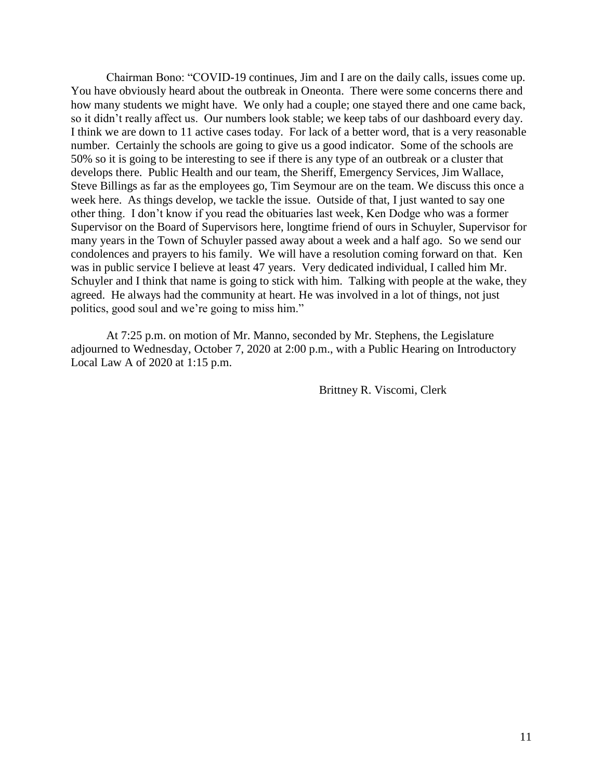Chairman Bono: "COVID-19 continues, Jim and I are on the daily calls, issues come up. You have obviously heard about the outbreak in Oneonta. There were some concerns there and how many students we might have. We only had a couple; one stayed there and one came back, so it didn't really affect us. Our numbers look stable; we keep tabs of our dashboard every day. I think we are down to 11 active cases today. For lack of a better word, that is a very reasonable number. Certainly the schools are going to give us a good indicator. Some of the schools are 50% so it is going to be interesting to see if there is any type of an outbreak or a cluster that develops there. Public Health and our team, the Sheriff, Emergency Services, Jim Wallace, Steve Billings as far as the employees go, Tim Seymour are on the team. We discuss this once a week here. As things develop, we tackle the issue. Outside of that, I just wanted to say one other thing. I don't know if you read the obituaries last week, Ken Dodge who was a former Supervisor on the Board of Supervisors here, longtime friend of ours in Schuyler, Supervisor for many years in the Town of Schuyler passed away about a week and a half ago. So we send our condolences and prayers to his family. We will have a resolution coming forward on that. Ken was in public service I believe at least 47 years. Very dedicated individual, I called him Mr. Schuyler and I think that name is going to stick with him. Talking with people at the wake, they agreed. He always had the community at heart. He was involved in a lot of things, not just politics, good soul and we're going to miss him."

At 7:25 p.m. on motion of Mr. Manno, seconded by Mr. Stephens, the Legislature adjourned to Wednesday, October 7, 2020 at 2:00 p.m., with a Public Hearing on Introductory Local Law A of 2020 at 1:15 p.m.

Brittney R. Viscomi, Clerk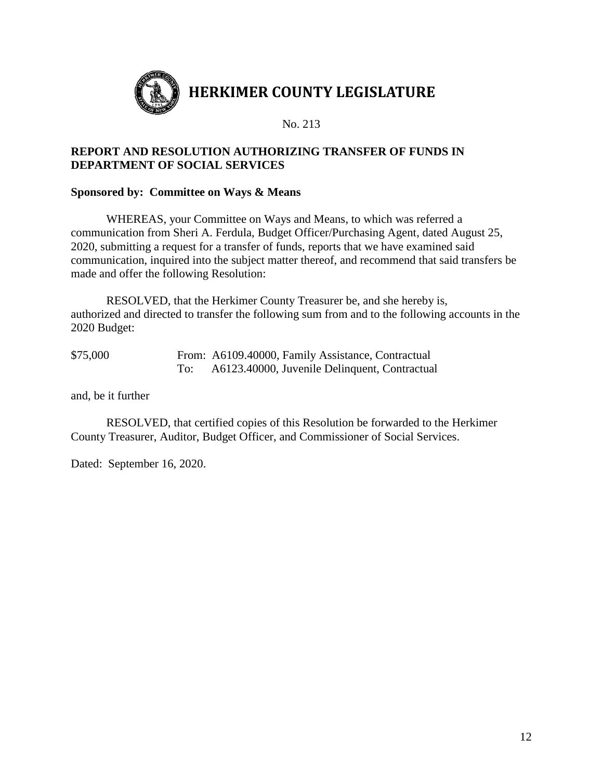

## **REPORT AND RESOLUTION AUTHORIZING TRANSFER OF FUNDS IN DEPARTMENT OF SOCIAL SERVICES**

## **Sponsored by: Committee on Ways & Means**

WHEREAS, your Committee on Ways and Means, to which was referred a communication from Sheri A. Ferdula, Budget Officer/Purchasing Agent, dated August 25, 2020, submitting a request for a transfer of funds, reports that we have examined said communication, inquired into the subject matter thereof, and recommend that said transfers be made and offer the following Resolution:

RESOLVED, that the Herkimer County Treasurer be, and she hereby is, authorized and directed to transfer the following sum from and to the following accounts in the 2020 Budget:

| \$75,000 | From: A6109.40000, Family Assistance, Contractual |
|----------|---------------------------------------------------|
|          | A6123.40000, Juvenile Delinquent, Contractual     |

and, be it further

RESOLVED, that certified copies of this Resolution be forwarded to the Herkimer County Treasurer, Auditor, Budget Officer, and Commissioner of Social Services.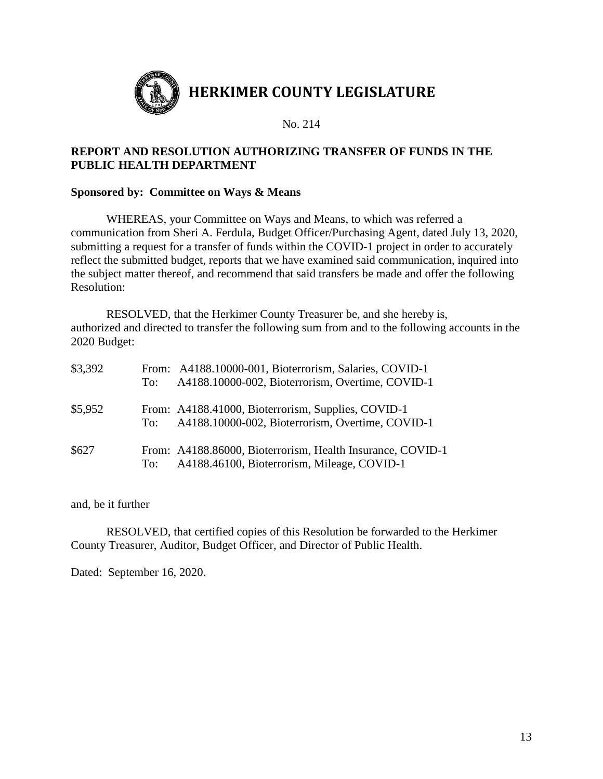

# **REPORT AND RESOLUTION AUTHORIZING TRANSFER OF FUNDS IN THE PUBLIC HEALTH DEPARTMENT**

## **Sponsored by: Committee on Ways & Means**

WHEREAS, your Committee on Ways and Means, to which was referred a communication from Sheri A. Ferdula, Budget Officer/Purchasing Agent, dated July 13, 2020, submitting a request for a transfer of funds within the COVID-1 project in order to accurately reflect the submitted budget, reports that we have examined said communication, inquired into the subject matter thereof, and recommend that said transfers be made and offer the following Resolution:

RESOLVED, that the Herkimer County Treasurer be, and she hereby is, authorized and directed to transfer the following sum from and to the following accounts in the 2020 Budget:

| \$3,392 | To: | From: A4188.10000-001, Bioterrorism, Salaries, COVID-1<br>A4188.10000-002, Bioterrorism, Overtime, COVID-1 |
|---------|-----|------------------------------------------------------------------------------------------------------------|
| \$5,952 | To: | From: A4188.41000, Bioterrorism, Supplies, COVID-1<br>A4188.10000-002, Bioterrorism, Overtime, COVID-1     |
| \$627   | To: | From: A4188.86000, Bioterrorism, Health Insurance, COVID-1<br>A4188.46100, Bioterrorism, Mileage, COVID-1  |

and, be it further

RESOLVED, that certified copies of this Resolution be forwarded to the Herkimer County Treasurer, Auditor, Budget Officer, and Director of Public Health.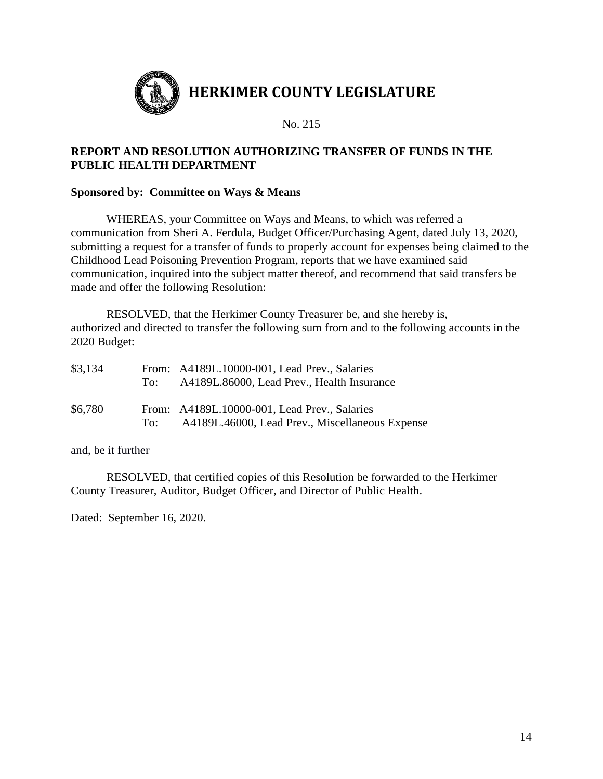

# **REPORT AND RESOLUTION AUTHORIZING TRANSFER OF FUNDS IN THE PUBLIC HEALTH DEPARTMENT**

## **Sponsored by: Committee on Ways & Means**

WHEREAS, your Committee on Ways and Means, to which was referred a communication from Sheri A. Ferdula, Budget Officer/Purchasing Agent, dated July 13, 2020, submitting a request for a transfer of funds to properly account for expenses being claimed to the Childhood Lead Poisoning Prevention Program, reports that we have examined said communication, inquired into the subject matter thereof, and recommend that said transfers be made and offer the following Resolution:

RESOLVED, that the Herkimer County Treasurer be, and she hereby is, authorized and directed to transfer the following sum from and to the following accounts in the 2020 Budget:

| \$3,134 | To: | From: A4189L.10000-001, Lead Prev., Salaries<br>A4189L.86000, Lead Prev., Health Insurance      |
|---------|-----|-------------------------------------------------------------------------------------------------|
| \$6,780 | To: | From: A4189L.10000-001, Lead Prev., Salaries<br>A4189L.46000, Lead Prev., Miscellaneous Expense |

and, be it further

RESOLVED, that certified copies of this Resolution be forwarded to the Herkimer County Treasurer, Auditor, Budget Officer, and Director of Public Health.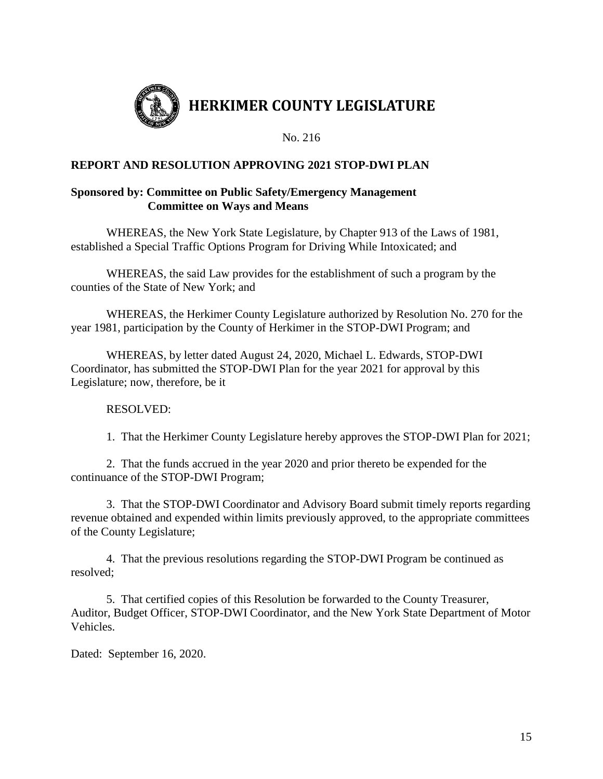

# **REPORT AND RESOLUTION APPROVING 2021 STOP-DWI PLAN**

## **Sponsored by: Committee on Public Safety/Emergency Management Committee on Ways and Means**

WHEREAS, the New York State Legislature, by Chapter 913 of the Laws of 1981, established a Special Traffic Options Program for Driving While Intoxicated; and

WHEREAS, the said Law provides for the establishment of such a program by the counties of the State of New York; and

WHEREAS, the Herkimer County Legislature authorized by Resolution No. 270 for the year 1981, participation by the County of Herkimer in the STOP-DWI Program; and

WHEREAS, by letter dated August 24, 2020, Michael L. Edwards, STOP-DWI Coordinator, has submitted the STOP-DWI Plan for the year 2021 for approval by this Legislature; now, therefore, be it

## RESOLVED:

1. That the Herkimer County Legislature hereby approves the STOP-DWI Plan for 2021;

2. That the funds accrued in the year 2020 and prior thereto be expended for the continuance of the STOP-DWI Program;

3. That the STOP-DWI Coordinator and Advisory Board submit timely reports regarding revenue obtained and expended within limits previously approved, to the appropriate committees of the County Legislature;

4. That the previous resolutions regarding the STOP-DWI Program be continued as resolved;

5. That certified copies of this Resolution be forwarded to the County Treasurer, Auditor, Budget Officer, STOP-DWI Coordinator, and the New York State Department of Motor Vehicles.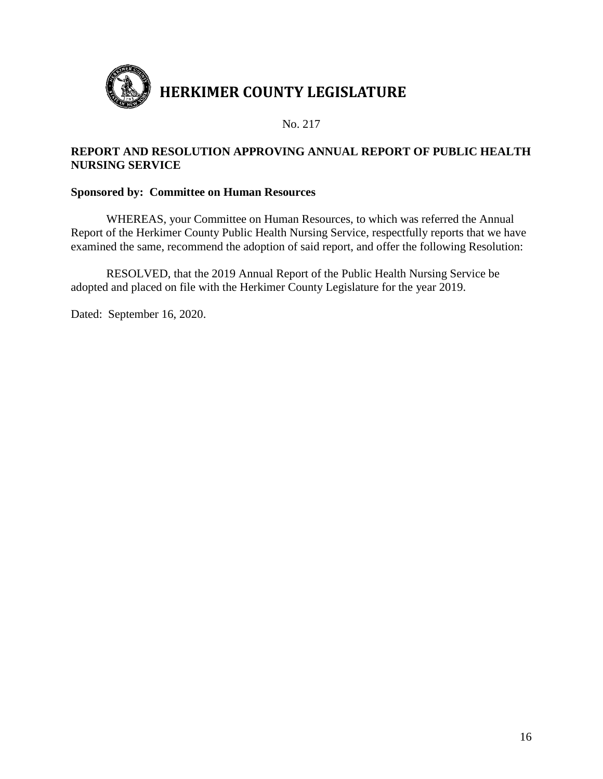

## **REPORT AND RESOLUTION APPROVING ANNUAL REPORT OF PUBLIC HEALTH NURSING SERVICE**

## **Sponsored by: Committee on Human Resources**

WHEREAS, your Committee on Human Resources, to which was referred the Annual Report of the Herkimer County Public Health Nursing Service, respectfully reports that we have examined the same, recommend the adoption of said report, and offer the following Resolution:

RESOLVED, that the 2019 Annual Report of the Public Health Nursing Service be adopted and placed on file with the Herkimer County Legislature for the year 2019.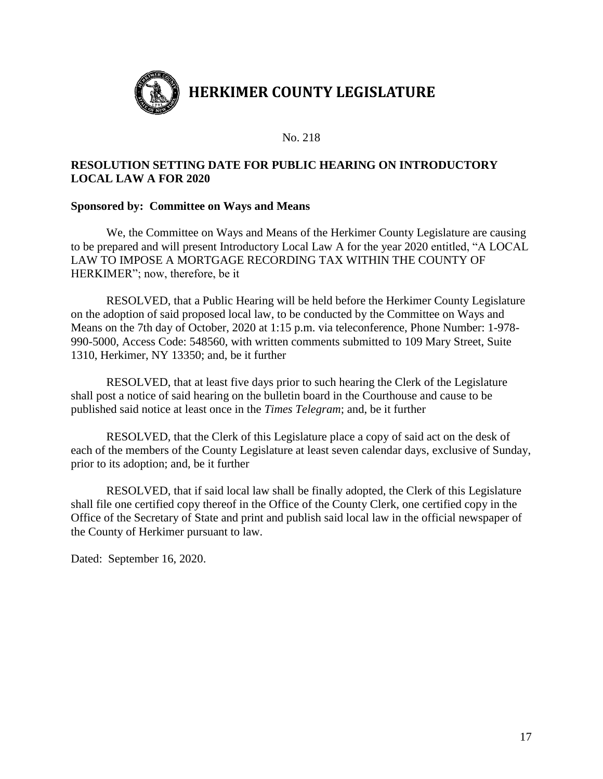

# **RESOLUTION SETTING DATE FOR PUBLIC HEARING ON INTRODUCTORY LOCAL LAW A FOR 2020**

## **Sponsored by: Committee on Ways and Means**

We, the Committee on Ways and Means of the Herkimer County Legislature are causing to be prepared and will present Introductory Local Law A for the year 2020 entitled, "A LOCAL LAW TO IMPOSE A MORTGAGE RECORDING TAX WITHIN THE COUNTY OF HERKIMER"; now, therefore, be it

RESOLVED, that a Public Hearing will be held before the Herkimer County Legislature on the adoption of said proposed local law, to be conducted by the Committee on Ways and Means on the 7th day of October, 2020 at 1:15 p.m. via teleconference, Phone Number: 1-978- 990-5000, Access Code: 548560, with written comments submitted to 109 Mary Street, Suite 1310, Herkimer, NY 13350; and, be it further

RESOLVED, that at least five days prior to such hearing the Clerk of the Legislature shall post a notice of said hearing on the bulletin board in the Courthouse and cause to be published said notice at least once in the *Times Telegram*; and, be it further

RESOLVED, that the Clerk of this Legislature place a copy of said act on the desk of each of the members of the County Legislature at least seven calendar days, exclusive of Sunday, prior to its adoption; and, be it further

RESOLVED, that if said local law shall be finally adopted, the Clerk of this Legislature shall file one certified copy thereof in the Office of the County Clerk, one certified copy in the Office of the Secretary of State and print and publish said local law in the official newspaper of the County of Herkimer pursuant to law.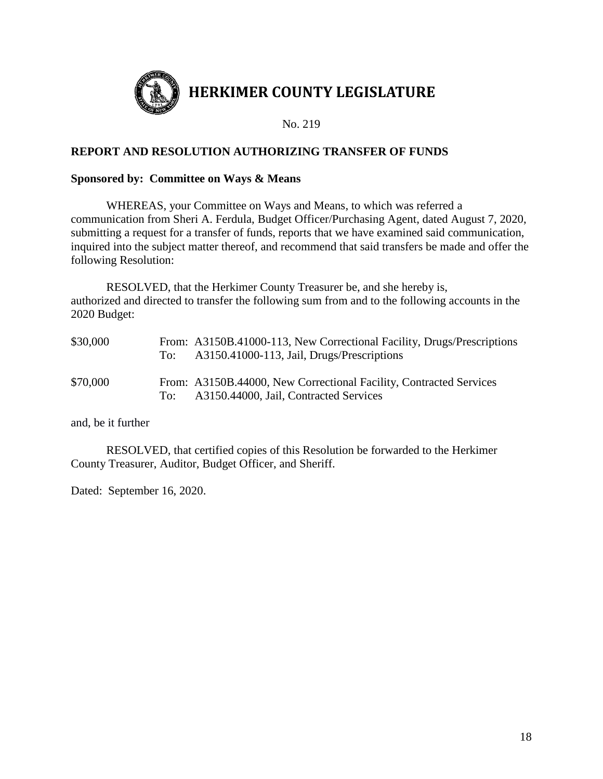

# **REPORT AND RESOLUTION AUTHORIZING TRANSFER OF FUNDS**

#### **Sponsored by: Committee on Ways & Means**

WHEREAS, your Committee on Ways and Means, to which was referred a communication from Sheri A. Ferdula, Budget Officer/Purchasing Agent, dated August 7, 2020, submitting a request for a transfer of funds, reports that we have examined said communication, inquired into the subject matter thereof, and recommend that said transfers be made and offer the following Resolution:

RESOLVED, that the Herkimer County Treasurer be, and she hereby is, authorized and directed to transfer the following sum from and to the following accounts in the 2020 Budget:

| \$30,000 | To:   | From: A3150B.41000-113, New Correctional Facility, Drugs/Prescriptions<br>A3150.41000-113, Jail, Drugs/Prescriptions |
|----------|-------|----------------------------------------------------------------------------------------------------------------------|
| \$70,000 | To: - | From: A3150B.44000, New Correctional Facility, Contracted Services<br>A3150.44000, Jail, Contracted Services         |

and, be it further

RESOLVED, that certified copies of this Resolution be forwarded to the Herkimer County Treasurer, Auditor, Budget Officer, and Sheriff.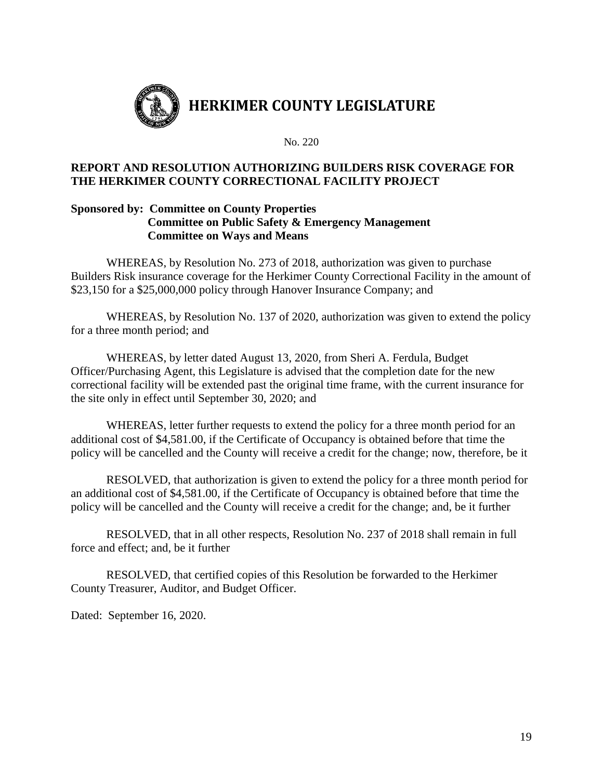

## **REPORT AND RESOLUTION AUTHORIZING BUILDERS RISK COVERAGE FOR THE HERKIMER COUNTY CORRECTIONAL FACILITY PROJECT**

## **Sponsored by: Committee on County Properties Committee on Public Safety & Emergency Management Committee on Ways and Means**

WHEREAS, by Resolution No. 273 of 2018, authorization was given to purchase Builders Risk insurance coverage for the Herkimer County Correctional Facility in the amount of \$23,150 for a \$25,000,000 policy through Hanover Insurance Company; and

WHEREAS, by Resolution No. 137 of 2020, authorization was given to extend the policy for a three month period; and

WHEREAS, by letter dated August 13, 2020, from Sheri A. Ferdula, Budget Officer/Purchasing Agent, this Legislature is advised that the completion date for the new correctional facility will be extended past the original time frame, with the current insurance for the site only in effect until September 30, 2020; and

WHEREAS, letter further requests to extend the policy for a three month period for an additional cost of \$4,581.00, if the Certificate of Occupancy is obtained before that time the policy will be cancelled and the County will receive a credit for the change; now, therefore, be it

RESOLVED, that authorization is given to extend the policy for a three month period for an additional cost of \$4,581.00, if the Certificate of Occupancy is obtained before that time the policy will be cancelled and the County will receive a credit for the change; and, be it further

RESOLVED, that in all other respects, Resolution No. 237 of 2018 shall remain in full force and effect; and, be it further

RESOLVED, that certified copies of this Resolution be forwarded to the Herkimer County Treasurer, Auditor, and Budget Officer.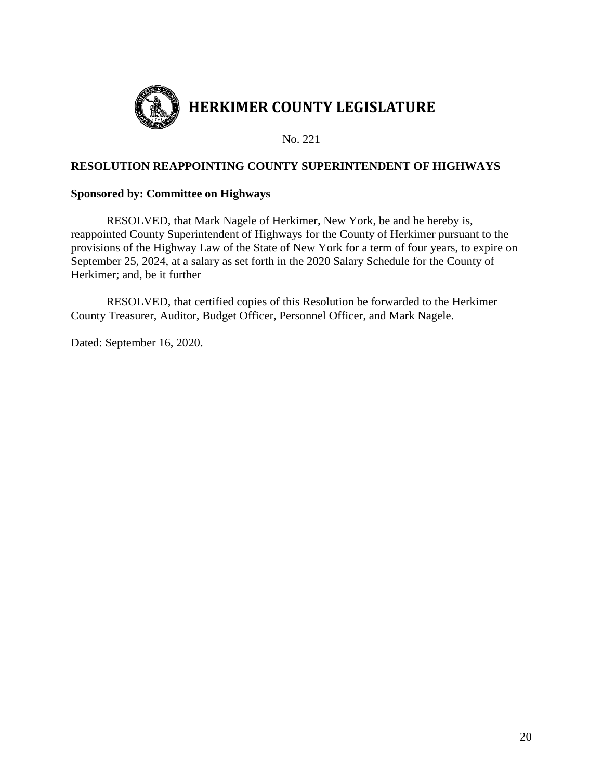

## **RESOLUTION REAPPOINTING COUNTY SUPERINTENDENT OF HIGHWAYS**

#### **Sponsored by: Committee on Highways**

RESOLVED, that Mark Nagele of Herkimer, New York, be and he hereby is, reappointed County Superintendent of Highways for the County of Herkimer pursuant to the provisions of the Highway Law of the State of New York for a term of four years, to expire on September 25, 2024, at a salary as set forth in the 2020 Salary Schedule for the County of Herkimer; and, be it further

RESOLVED, that certified copies of this Resolution be forwarded to the Herkimer County Treasurer, Auditor, Budget Officer, Personnel Officer, and Mark Nagele.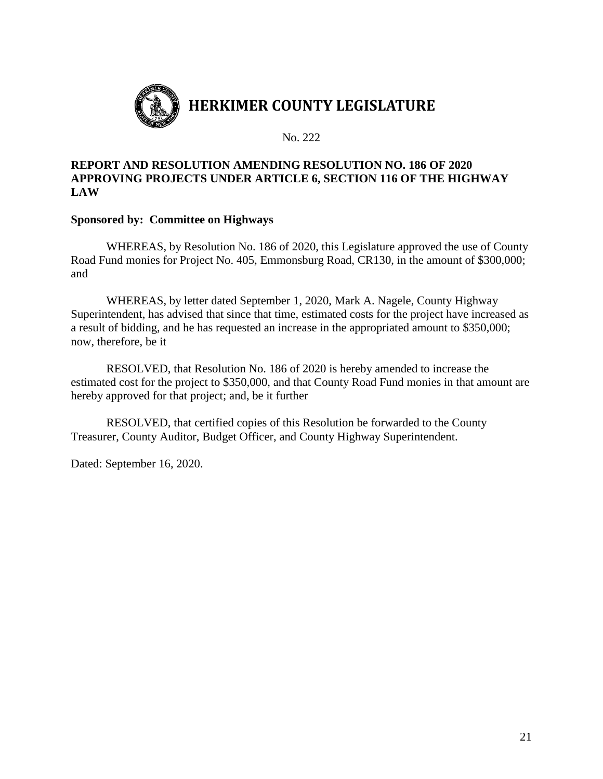

## **REPORT AND RESOLUTION AMENDING RESOLUTION NO. 186 OF 2020 APPROVING PROJECTS UNDER ARTICLE 6, SECTION 116 OF THE HIGHWAY LAW**

## **Sponsored by: Committee on Highways**

WHEREAS, by Resolution No. 186 of 2020, this Legislature approved the use of County Road Fund monies for Project No. 405, Emmonsburg Road, CR130, in the amount of \$300,000; and

WHEREAS, by letter dated September 1, 2020, Mark A. Nagele, County Highway Superintendent, has advised that since that time, estimated costs for the project have increased as a result of bidding, and he has requested an increase in the appropriated amount to \$350,000; now, therefore, be it

RESOLVED, that Resolution No. 186 of 2020 is hereby amended to increase the estimated cost for the project to \$350,000, and that County Road Fund monies in that amount are hereby approved for that project; and, be it further

RESOLVED, that certified copies of this Resolution be forwarded to the County Treasurer, County Auditor, Budget Officer, and County Highway Superintendent.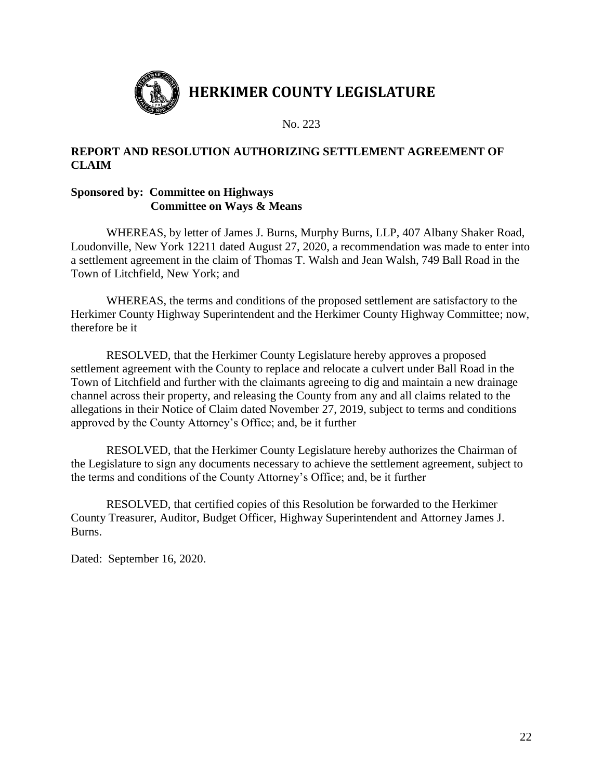

# **REPORT AND RESOLUTION AUTHORIZING SETTLEMENT AGREEMENT OF CLAIM**

# **Sponsored by: Committee on Highways Committee on Ways & Means**

WHEREAS, by letter of James J. Burns, Murphy Burns, LLP, 407 Albany Shaker Road, Loudonville, New York 12211 dated August 27, 2020, a recommendation was made to enter into a settlement agreement in the claim of Thomas T. Walsh and Jean Walsh, 749 Ball Road in the Town of Litchfield, New York; and

WHEREAS, the terms and conditions of the proposed settlement are satisfactory to the Herkimer County Highway Superintendent and the Herkimer County Highway Committee; now, therefore be it

RESOLVED, that the Herkimer County Legislature hereby approves a proposed settlement agreement with the County to replace and relocate a culvert under Ball Road in the Town of Litchfield and further with the claimants agreeing to dig and maintain a new drainage channel across their property, and releasing the County from any and all claims related to the allegations in their Notice of Claim dated November 27, 2019, subject to terms and conditions approved by the County Attorney's Office; and, be it further

RESOLVED, that the Herkimer County Legislature hereby authorizes the Chairman of the Legislature to sign any documents necessary to achieve the settlement agreement, subject to the terms and conditions of the County Attorney's Office; and, be it further

RESOLVED, that certified copies of this Resolution be forwarded to the Herkimer County Treasurer, Auditor, Budget Officer, Highway Superintendent and Attorney James J. Burns.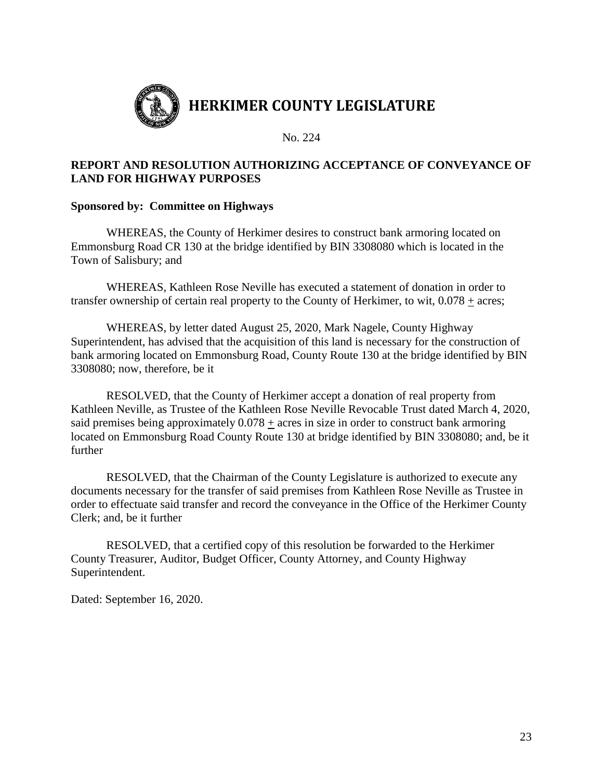

# **REPORT AND RESOLUTION AUTHORIZING ACCEPTANCE OF CONVEYANCE OF LAND FOR HIGHWAY PURPOSES**

## **Sponsored by: Committee on Highways**

WHEREAS, the County of Herkimer desires to construct bank armoring located on Emmonsburg Road CR 130 at the bridge identified by BIN 3308080 which is located in the Town of Salisbury; and

WHEREAS, Kathleen Rose Neville has executed a statement of donation in order to transfer ownership of certain real property to the County of Herkimer, to wit,  $0.078 \pm \text{acres}$ ;

WHEREAS, by letter dated August 25, 2020, Mark Nagele, County Highway Superintendent, has advised that the acquisition of this land is necessary for the construction of bank armoring located on Emmonsburg Road, County Route 130 at the bridge identified by BIN 3308080; now, therefore, be it

RESOLVED, that the County of Herkimer accept a donation of real property from Kathleen Neville, as Trustee of the Kathleen Rose Neville Revocable Trust dated March 4, 2020, said premises being approximately 0.078 + acres in size in order to construct bank armoring located on Emmonsburg Road County Route 130 at bridge identified by BIN 3308080; and, be it further

RESOLVED, that the Chairman of the County Legislature is authorized to execute any documents necessary for the transfer of said premises from Kathleen Rose Neville as Trustee in order to effectuate said transfer and record the conveyance in the Office of the Herkimer County Clerk; and, be it further

RESOLVED, that a certified copy of this resolution be forwarded to the Herkimer County Treasurer, Auditor, Budget Officer, County Attorney, and County Highway Superintendent.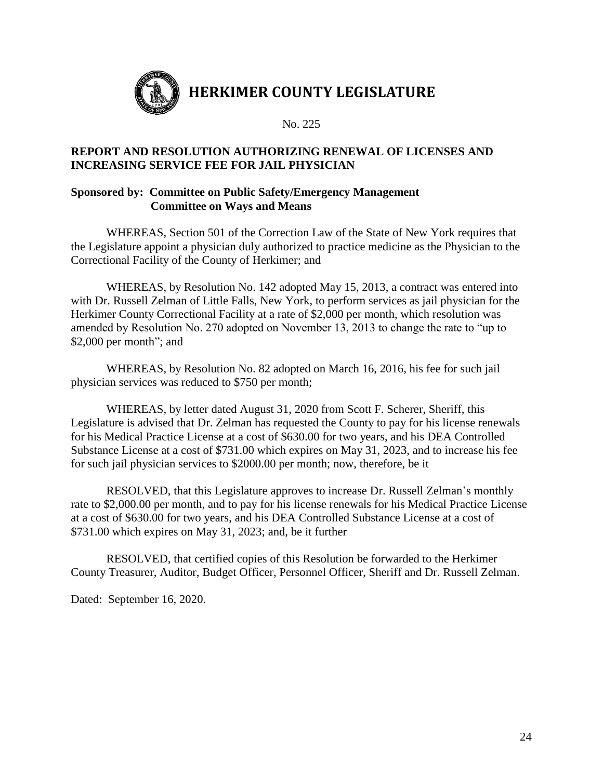

## **REPORT AND RESOLUTION AUTHORIZING RENEWAL OF LICENSES AND INCREASING SERVICE FEE FOR JAIL PHYSICIAN**

## **Sponsored by: Committee on Public Safety/Emergency Management Committee on Ways and Means**

WHEREAS, Section 501 of the Correction Law of the State of New York requires that the Legislature appoint a physician duly authorized to practice medicine as the Physician to the Correctional Facility of the County of Herkimer; and

WHEREAS, by Resolution No. 142 adopted May 15, 2013, a contract was entered into with Dr. Russell Zelman of Little Falls, New York, to perform services as jail physician for the Herkimer County Correctional Facility at a rate of \$2,000 per month, which resolution was amended by Resolution No. 270 adopted on November 13, 2013 to change the rate to "up to \$2,000 per month"; and

WHEREAS, by Resolution No. 82 adopted on March 16, 2016, his fee for such jail physician services was reduced to \$750 per month;

WHEREAS, by letter dated August 31, 2020 from Scott F. Scherer, Sheriff, this Legislature is advised that Dr. Zelman has requested the County to pay for his license renewals for his Medical Practice License at a cost of \$630.00 for two years, and his DEA Controlled Substance License at a cost of \$731.00 which expires on May 31, 2023, and to increase his fee for such jail physician services to \$2000.00 per month; now, therefore, be it

RESOLVED, that this Legislature approves to increase Dr. Russell Zelman's monthly rate to \$2,000.00 per month, and to pay for his license renewals for his Medical Practice License at a cost of \$630.00 for two years, and his DEA Controlled Substance License at a cost of \$731.00 which expires on May 31, 2023; and, be it further

RESOLVED, that certified copies of this Resolution be forwarded to the Herkimer County Treasurer, Auditor, Budget Officer, Personnel Officer, Sheriff and Dr. Russell Zelman.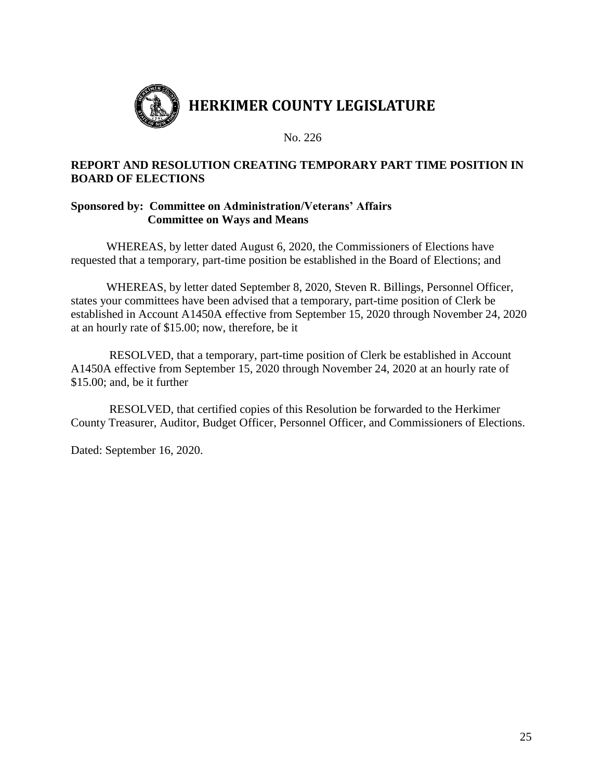

# **REPORT AND RESOLUTION CREATING TEMPORARY PART TIME POSITION IN BOARD OF ELECTIONS**

## **Sponsored by: Committee on Administration/Veterans' Affairs Committee on Ways and Means**

WHEREAS, by letter dated August 6, 2020, the Commissioners of Elections have requested that a temporary, part-time position be established in the Board of Elections; and

WHEREAS, by letter dated September 8, 2020, Steven R. Billings, Personnel Officer, states your committees have been advised that a temporary, part-time position of Clerk be established in Account A1450A effective from September 15, 2020 through November 24, 2020 at an hourly rate of \$15.00; now, therefore, be it

RESOLVED, that a temporary, part-time position of Clerk be established in Account A1450A effective from September 15, 2020 through November 24, 2020 at an hourly rate of \$15.00; and, be it further

RESOLVED, that certified copies of this Resolution be forwarded to the Herkimer County Treasurer, Auditor, Budget Officer, Personnel Officer, and Commissioners of Elections.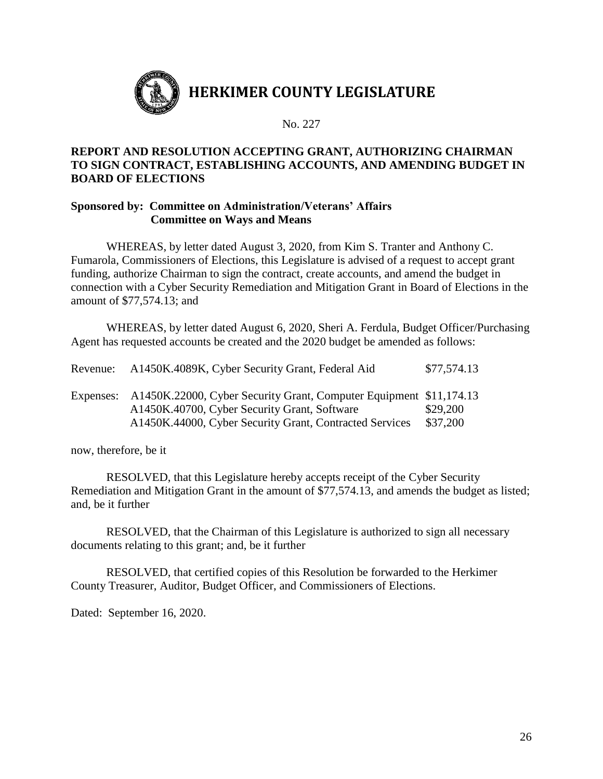

## **REPORT AND RESOLUTION ACCEPTING GRANT, AUTHORIZING CHAIRMAN TO SIGN CONTRACT, ESTABLISHING ACCOUNTS, AND AMENDING BUDGET IN BOARD OF ELECTIONS**

## **Sponsored by: Committee on Administration/Veterans' Affairs Committee on Ways and Means**

WHEREAS, by letter dated August 3, 2020, from Kim S. Tranter and Anthony C. Fumarola, Commissioners of Elections, this Legislature is advised of a request to accept grant funding, authorize Chairman to sign the contract, create accounts, and amend the budget in connection with a Cyber Security Remediation and Mitigation Grant in Board of Elections in the amount of \$77,574.13; and

WHEREAS, by letter dated August 6, 2020, Sheri A. Ferdula, Budget Officer/Purchasing Agent has requested accounts be created and the 2020 budget be amended as follows:

| Revenue: | A1450K.4089K, Cyber Security Grant, Federal Aid                                                                                                                                         | \$77,574.13          |
|----------|-----------------------------------------------------------------------------------------------------------------------------------------------------------------------------------------|----------------------|
|          | Expenses: A1450K.22000, Cyber Security Grant, Computer Equipment \$11,174.13<br>A1450K.40700, Cyber Security Grant, Software<br>A1450K.44000, Cyber Security Grant, Contracted Services | \$29,200<br>\$37,200 |

now, therefore, be it

RESOLVED, that this Legislature hereby accepts receipt of the Cyber Security Remediation and Mitigation Grant in the amount of \$77,574.13, and amends the budget as listed; and, be it further

RESOLVED, that the Chairman of this Legislature is authorized to sign all necessary documents relating to this grant; and, be it further

RESOLVED, that certified copies of this Resolution be forwarded to the Herkimer County Treasurer, Auditor, Budget Officer, and Commissioners of Elections.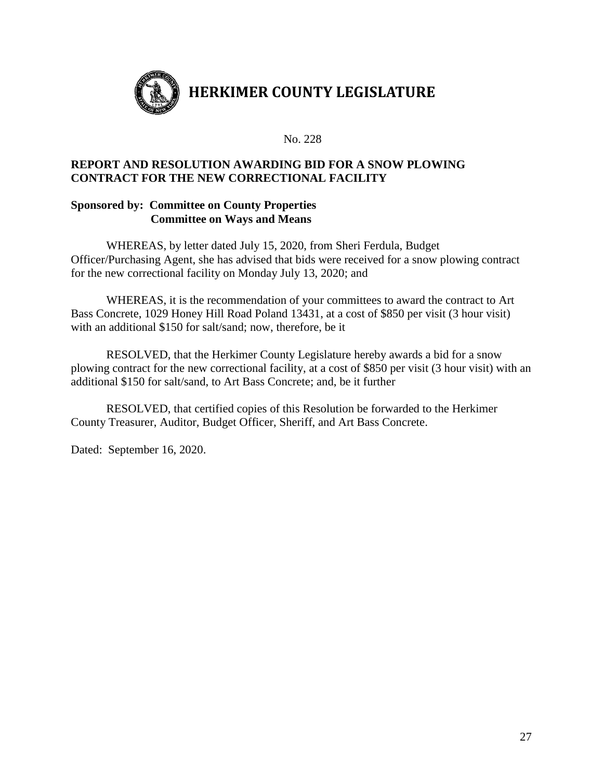

## **REPORT AND RESOLUTION AWARDING BID FOR A SNOW PLOWING CONTRACT FOR THE NEW CORRECTIONAL FACILITY**

## **Sponsored by: Committee on County Properties Committee on Ways and Means**

WHEREAS, by letter dated July 15, 2020, from Sheri Ferdula, Budget Officer/Purchasing Agent, she has advised that bids were received for a snow plowing contract for the new correctional facility on Monday July 13, 2020; and

WHEREAS, it is the recommendation of your committees to award the contract to Art Bass Concrete, 1029 Honey Hill Road Poland 13431, at a cost of \$850 per visit (3 hour visit) with an additional \$150 for salt/sand; now, therefore, be it

RESOLVED, that the Herkimer County Legislature hereby awards a bid for a snow plowing contract for the new correctional facility, at a cost of \$850 per visit (3 hour visit) with an additional \$150 for salt/sand, to Art Bass Concrete; and, be it further

RESOLVED, that certified copies of this Resolution be forwarded to the Herkimer County Treasurer, Auditor, Budget Officer, Sheriff, and Art Bass Concrete.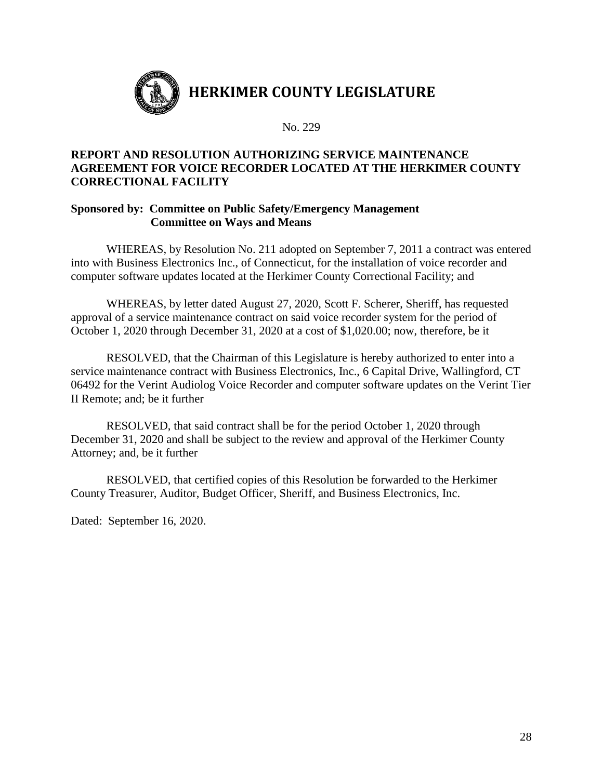

# **REPORT AND RESOLUTION AUTHORIZING SERVICE MAINTENANCE AGREEMENT FOR VOICE RECORDER LOCATED AT THE HERKIMER COUNTY CORRECTIONAL FACILITY**

## **Sponsored by: Committee on Public Safety/Emergency Management Committee on Ways and Means**

WHEREAS, by Resolution No. 211 adopted on September 7, 2011 a contract was entered into with Business Electronics Inc., of Connecticut, for the installation of voice recorder and computer software updates located at the Herkimer County Correctional Facility; and

WHEREAS, by letter dated August 27, 2020, Scott F. Scherer, Sheriff, has requested approval of a service maintenance contract on said voice recorder system for the period of October 1, 2020 through December 31, 2020 at a cost of \$1,020.00; now, therefore, be it

RESOLVED, that the Chairman of this Legislature is hereby authorized to enter into a service maintenance contract with Business Electronics, Inc., 6 Capital Drive, Wallingford, CT 06492 for the Verint Audiolog Voice Recorder and computer software updates on the Verint Tier II Remote; and; be it further

RESOLVED, that said contract shall be for the period October 1, 2020 through December 31, 2020 and shall be subject to the review and approval of the Herkimer County Attorney; and, be it further

RESOLVED, that certified copies of this Resolution be forwarded to the Herkimer County Treasurer, Auditor, Budget Officer, Sheriff, and Business Electronics, Inc.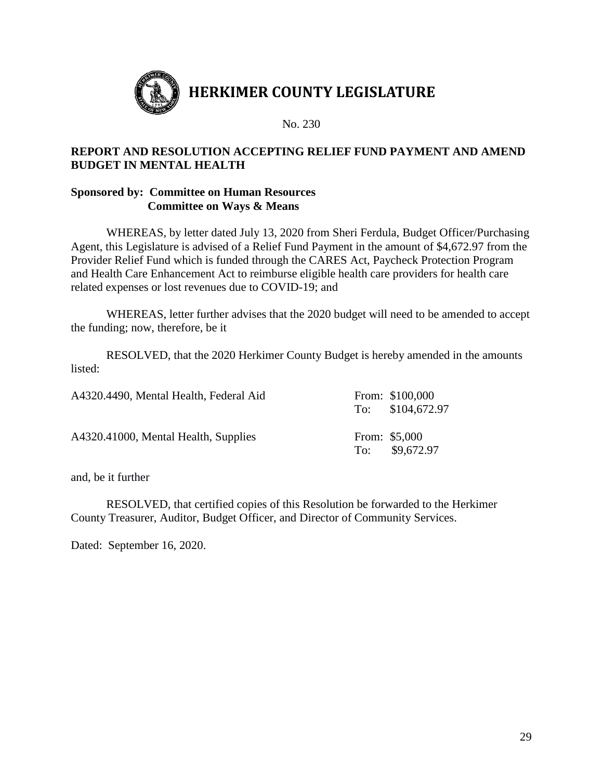

# **REPORT AND RESOLUTION ACCEPTING RELIEF FUND PAYMENT AND AMEND BUDGET IN MENTAL HEALTH**

## **Sponsored by: Committee on Human Resources Committee on Ways & Means**

WHEREAS, by letter dated July 13, 2020 from Sheri Ferdula, Budget Officer/Purchasing Agent, this Legislature is advised of a Relief Fund Payment in the amount of \$4,672.97 from the Provider Relief Fund which is funded through the CARES Act, Paycheck Protection Program and Health Care Enhancement Act to reimburse eligible health care providers for health care related expenses or lost revenues due to COVID-19; and

WHEREAS, letter further advises that the 2020 budget will need to be amended to accept the funding; now, therefore, be it

RESOLVED, that the 2020 Herkimer County Budget is hereby amended in the amounts listed:

| A4320.4490, Mental Health, Federal Aid | From: \$100,000<br>To: \$104,672.97 |
|----------------------------------------|-------------------------------------|
| A4320.41000, Mental Health, Supplies   | From: \$5,000<br>To: \$9,672.97     |

and, be it further

RESOLVED, that certified copies of this Resolution be forwarded to the Herkimer County Treasurer, Auditor, Budget Officer, and Director of Community Services.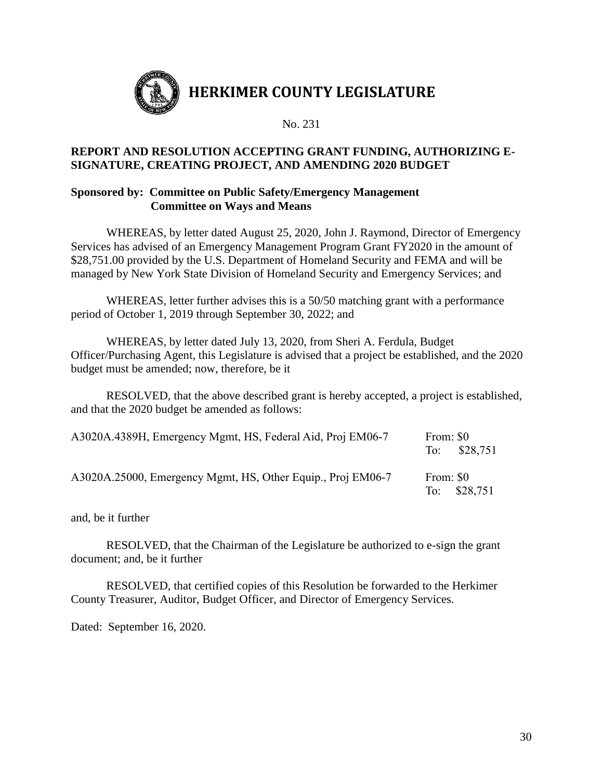

## **REPORT AND RESOLUTION ACCEPTING GRANT FUNDING, AUTHORIZING E-SIGNATURE, CREATING PROJECT, AND AMENDING 2020 BUDGET**

## **Sponsored by: Committee on Public Safety/Emergency Management Committee on Ways and Means**

WHEREAS, by letter dated August 25, 2020, John J. Raymond, Director of Emergency Services has advised of an Emergency Management Program Grant FY2020 in the amount of \$28,751.00 provided by the U.S. Department of Homeland Security and FEMA and will be managed by New York State Division of Homeland Security and Emergency Services; and

WHEREAS, letter further advises this is a 50/50 matching grant with a performance period of October 1, 2019 through September 30, 2022; and

WHEREAS, by letter dated July 13, 2020, from Sheri A. Ferdula, Budget Officer/Purchasing Agent, this Legislature is advised that a project be established, and the 2020 budget must be amended; now, therefore, be it

RESOLVED, that the above described grant is hereby accepted, a project is established, and that the 2020 budget be amended as follows:

| A3020A.4389H, Emergency Mgmt, HS, Federal Aid, Proj EM06-7  | From: \$0<br>To: \$28,751 |  |
|-------------------------------------------------------------|---------------------------|--|
| A3020A.25000, Emergency Mgmt, HS, Other Equip., Proj EM06-7 | From: \$0<br>To: \$28,751 |  |

and, be it further

RESOLVED, that the Chairman of the Legislature be authorized to e-sign the grant document; and, be it further

RESOLVED, that certified copies of this Resolution be forwarded to the Herkimer County Treasurer, Auditor, Budget Officer, and Director of Emergency Services.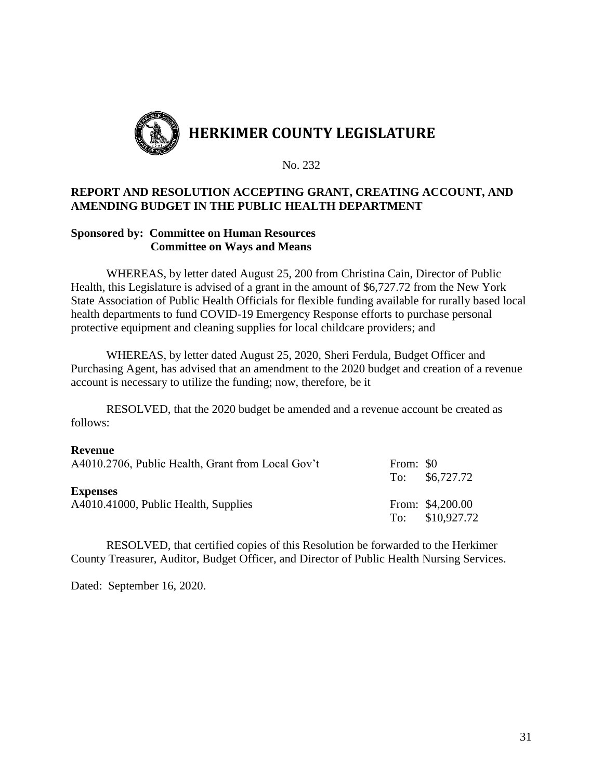

## **REPORT AND RESOLUTION ACCEPTING GRANT, CREATING ACCOUNT, AND AMENDING BUDGET IN THE PUBLIC HEALTH DEPARTMENT**

## **Sponsored by: Committee on Human Resources Committee on Ways and Means**

WHEREAS, by letter dated August 25, 200 from Christina Cain, Director of Public Health, this Legislature is advised of a grant in the amount of \$6,727.72 from the New York State Association of Public Health Officials for flexible funding available for rurally based local health departments to fund COVID-19 Emergency Response efforts to purchase personal protective equipment and cleaning supplies for local childcare providers; and

WHEREAS, by letter dated August 25, 2020, Sheri Ferdula, Budget Officer and Purchasing Agent, has advised that an amendment to the 2020 budget and creation of a revenue account is necessary to utilize the funding; now, therefore, be it

RESOLVED, that the 2020 budget be amended and a revenue account be created as follows:

#### **Revenue**

| A4010.2706, Public Health, Grant from Local Gov't       | From: \$0 | To: \$6,727.72                      |
|---------------------------------------------------------|-----------|-------------------------------------|
| <b>Expenses</b><br>A4010.41000, Public Health, Supplies |           | From: \$4,200.00<br>To: \$10,927.72 |

RESOLVED, that certified copies of this Resolution be forwarded to the Herkimer County Treasurer, Auditor, Budget Officer, and Director of Public Health Nursing Services.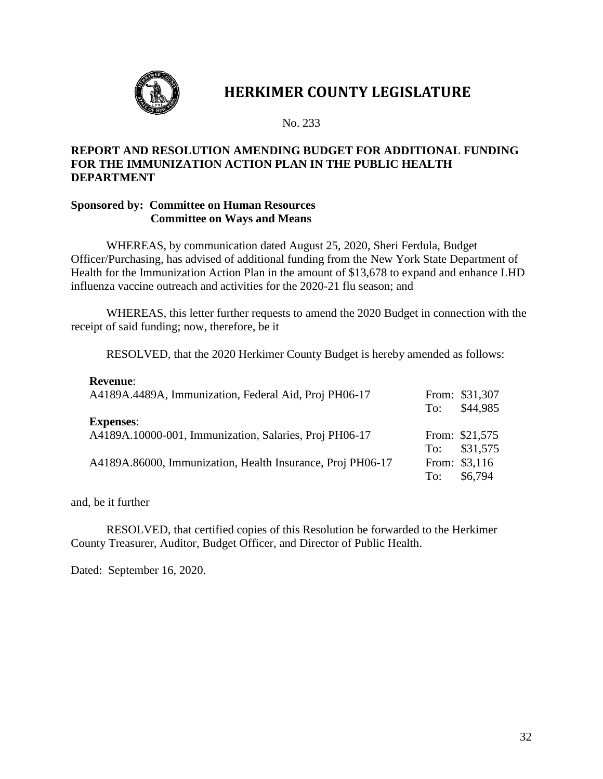

# **HERKIMER COUNTY LEGISLATURE**

No. 233

## **REPORT AND RESOLUTION AMENDING BUDGET FOR ADDITIONAL FUNDING FOR THE IMMUNIZATION ACTION PLAN IN THE PUBLIC HEALTH DEPARTMENT**

#### **Sponsored by: Committee on Human Resources Committee on Ways and Means**

WHEREAS, by communication dated August 25, 2020, Sheri Ferdula, Budget Officer/Purchasing, has advised of additional funding from the New York State Department of Health for the Immunization Action Plan in the amount of \$13,678 to expand and enhance LHD influenza vaccine outreach and activities for the 2020-21 flu season; and

WHEREAS, this letter further requests to amend the 2020 Budget in connection with the receipt of said funding; now, therefore, be it

RESOLVED, that the 2020 Herkimer County Budget is hereby amended as follows:

| Revenue:<br>A4189A.4489A, Immunization, Federal Aid, Proj PH06-17          | To: | From: \$31,307<br>\$44,985               |
|----------------------------------------------------------------------------|-----|------------------------------------------|
| <b>Expenses:</b><br>A4189A.10000-001, Immunization, Salaries, Proj PH06-17 |     | From: \$21,575                           |
| A4189A.86000, Immunization, Health Insurance, Proj PH06-17                 | To: | To: \$31,575<br>From: \$3,116<br>\$6,794 |

and, be it further

**Revenue**:

RESOLVED, that certified copies of this Resolution be forwarded to the Herkimer County Treasurer, Auditor, Budget Officer, and Director of Public Health.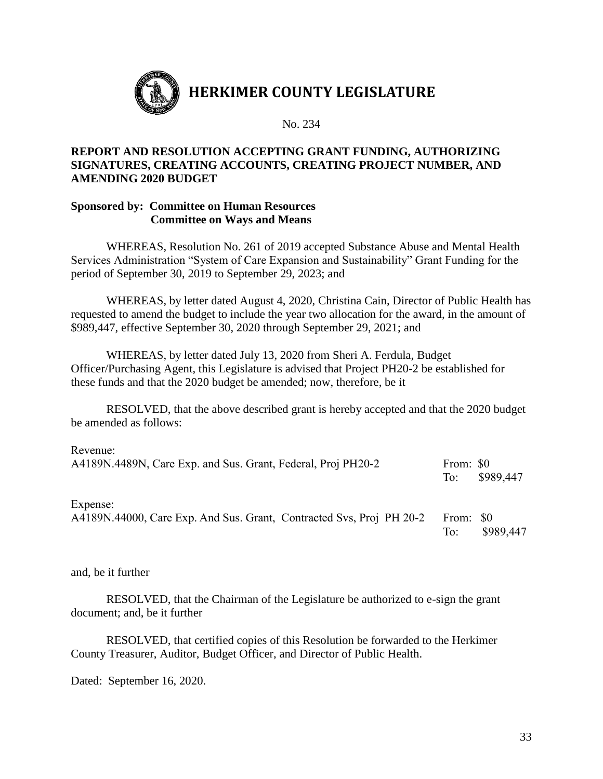

## **REPORT AND RESOLUTION ACCEPTING GRANT FUNDING, AUTHORIZING SIGNATURES, CREATING ACCOUNTS, CREATING PROJECT NUMBER, AND AMENDING 2020 BUDGET**

#### **Sponsored by: Committee on Human Resources Committee on Ways and Means**

WHEREAS, Resolution No. 261 of 2019 accepted Substance Abuse and Mental Health Services Administration "System of Care Expansion and Sustainability" Grant Funding for the period of September 30, 2019 to September 29, 2023; and

WHEREAS, by letter dated August 4, 2020, Christina Cain, Director of Public Health has requested to amend the budget to include the year two allocation for the award, in the amount of \$989,447, effective September 30, 2020 through September 29, 2021; and

WHEREAS, by letter dated July 13, 2020 from Sheri A. Ferdula, Budget Officer/Purchasing Agent, this Legislature is advised that Project PH20-2 be established for these funds and that the 2020 budget be amended; now, therefore, be it

RESOLVED, that the above described grant is hereby accepted and that the 2020 budget be amended as follows:

| Revenue:<br>A4189N.4489N, Care Exp. and Sus. Grant, Federal, Proj PH20-2         | From: \$0<br>To: | \$989,447 |
|----------------------------------------------------------------------------------|------------------|-----------|
| Expense:<br>A4189N.44000, Care Exp. And Sus. Grant, Contracted Svs, Proj PH 20-2 | From: \$0<br>To: | \$989,447 |

and, be it further

RESOLVED, that the Chairman of the Legislature be authorized to e-sign the grant document; and, be it further

RESOLVED, that certified copies of this Resolution be forwarded to the Herkimer County Treasurer, Auditor, Budget Officer, and Director of Public Health.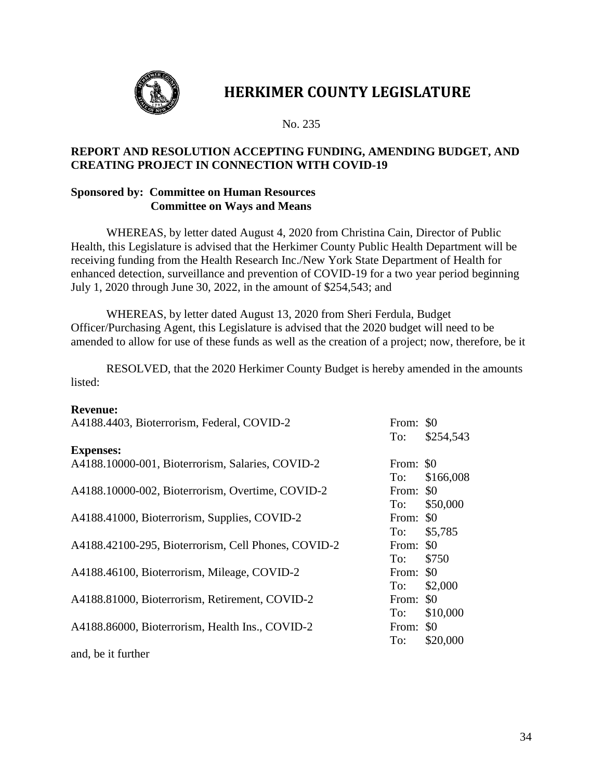

# **HERKIMER COUNTY LEGISLATURE**

No. 235

## **REPORT AND RESOLUTION ACCEPTING FUNDING, AMENDING BUDGET, AND CREATING PROJECT IN CONNECTION WITH COVID-19**

## **Sponsored by: Committee on Human Resources Committee on Ways and Means**

WHEREAS, by letter dated August 4, 2020 from Christina Cain, Director of Public Health, this Legislature is advised that the Herkimer County Public Health Department will be receiving funding from the Health Research Inc./New York State Department of Health for enhanced detection, surveillance and prevention of COVID-19 for a two year period beginning July 1, 2020 through June 30, 2022, in the amount of \$254,543; and

WHEREAS, by letter dated August 13, 2020 from Sheri Ferdula, Budget Officer/Purchasing Agent, this Legislature is advised that the 2020 budget will need to be amended to allow for use of these funds as well as the creation of a project; now, therefore, be it

RESOLVED, that the 2020 Herkimer County Budget is hereby amended in the amounts listed:

#### **Revenue:**

| A4188.4403, Bioterrorism, Federal, COVID-2          | From: \$0<br>To: | \$254,543    |
|-----------------------------------------------------|------------------|--------------|
| <b>Expenses:</b>                                    |                  |              |
| A4188.10000-001, Bioterrorism, Salaries, COVID-2    | From: \$0        |              |
|                                                     | To:              | \$166,008    |
| A4188.10000-002, Bioterrorism, Overtime, COVID-2    | From: \$0        |              |
|                                                     |                  | To: \$50,000 |
| A4188.41000, Bioterrorism, Supplies, COVID-2        | From: \$0        |              |
|                                                     | To:              | \$5,785      |
| A4188.42100-295, Bioterrorism, Cell Phones, COVID-2 | From: \$0        |              |
|                                                     | To:              | \$750        |
| A4188.46100, Bioterrorism, Mileage, COVID-2         | From: \$0        |              |
|                                                     | To:              | \$2,000      |
| A4188.81000, Bioterrorism, Retirement, COVID-2      | From:            | \$0          |
|                                                     | To:              | \$10,000     |
| A4188.86000, Bioterrorism, Health Ins., COVID-2     | From:            | \$0          |
|                                                     | To:              | \$20,000     |
| and, be it further                                  |                  |              |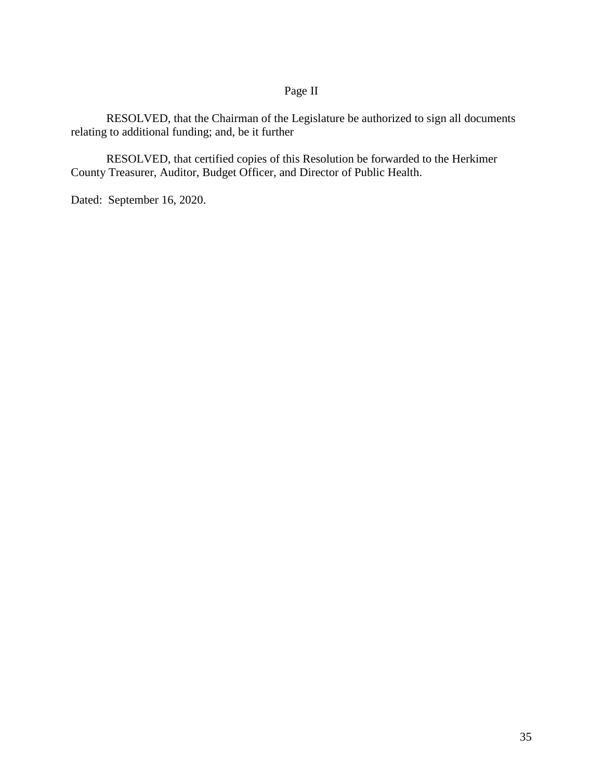# Page II

RESOLVED, that the Chairman of the Legislature be authorized to sign all documents relating to additional funding; and, be it further

RESOLVED, that certified copies of this Resolution be forwarded to the Herkimer County Treasurer, Auditor, Budget Officer, and Director of Public Health.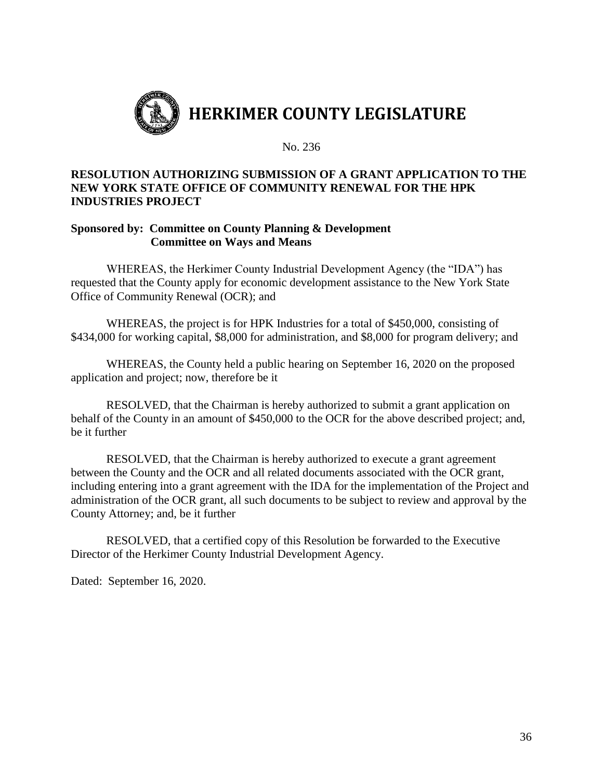

## **RESOLUTION AUTHORIZING SUBMISSION OF A GRANT APPLICATION TO THE NEW YORK STATE OFFICE OF COMMUNITY RENEWAL FOR THE HPK INDUSTRIES PROJECT**

## **Sponsored by: Committee on County Planning & Development Committee on Ways and Means**

WHEREAS, the Herkimer County Industrial Development Agency (the "IDA") has requested that the County apply for economic development assistance to the New York State Office of Community Renewal (OCR); and

WHEREAS, the project is for HPK Industries for a total of \$450,000, consisting of \$434,000 for working capital, \$8,000 for administration, and \$8,000 for program delivery; and

WHEREAS, the County held a public hearing on September 16, 2020 on the proposed application and project; now, therefore be it

RESOLVED, that the Chairman is hereby authorized to submit a grant application on behalf of the County in an amount of \$450,000 to the OCR for the above described project; and, be it further

RESOLVED, that the Chairman is hereby authorized to execute a grant agreement between the County and the OCR and all related documents associated with the OCR grant, including entering into a grant agreement with the IDA for the implementation of the Project and administration of the OCR grant, all such documents to be subject to review and approval by the County Attorney; and, be it further

RESOLVED, that a certified copy of this Resolution be forwarded to the Executive Director of the Herkimer County Industrial Development Agency.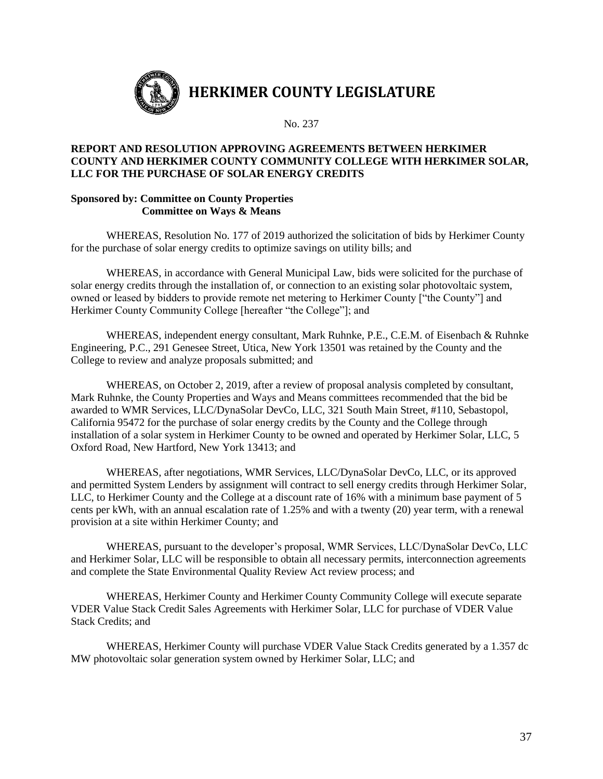

#### **REPORT AND RESOLUTION APPROVING AGREEMENTS BETWEEN HERKIMER COUNTY AND HERKIMER COUNTY COMMUNITY COLLEGE WITH HERKIMER SOLAR, LLC FOR THE PURCHASE OF SOLAR ENERGY CREDITS**

#### **Sponsored by: Committee on County Properties Committee on Ways & Means**

WHEREAS, Resolution No. 177 of 2019 authorized the solicitation of bids by Herkimer County for the purchase of solar energy credits to optimize savings on utility bills; and

WHEREAS, in accordance with General Municipal Law, bids were solicited for the purchase of solar energy credits through the installation of, or connection to an existing solar photovoltaic system, owned or leased by bidders to provide remote net metering to Herkimer County ["the County"] and Herkimer County Community College [hereafter "the College"]; and

WHEREAS, independent energy consultant, Mark Ruhnke, P.E., C.E.M. of Eisenbach & Ruhnke Engineering, P.C., 291 Genesee Street, Utica, New York 13501 was retained by the County and the College to review and analyze proposals submitted; and

WHEREAS, on October 2, 2019, after a review of proposal analysis completed by consultant, Mark Ruhnke, the County Properties and Ways and Means committees recommended that the bid be awarded to WMR Services, LLC/DynaSolar DevCo, LLC, 321 South Main Street, #110, Sebastopol, California 95472 for the purchase of solar energy credits by the County and the College through installation of a solar system in Herkimer County to be owned and operated by Herkimer Solar, LLC, 5 Oxford Road, New Hartford, New York 13413; and

WHEREAS, after negotiations, WMR Services, LLC/DynaSolar DevCo, LLC, or its approved and permitted System Lenders by assignment will contract to sell energy credits through Herkimer Solar, LLC, to Herkimer County and the College at a discount rate of 16% with a minimum base payment of 5 cents per kWh, with an annual escalation rate of 1.25% and with a twenty (20) year term, with a renewal provision at a site within Herkimer County; and

WHEREAS, pursuant to the developer's proposal, WMR Services, LLC/DynaSolar DevCo, LLC and Herkimer Solar, LLC will be responsible to obtain all necessary permits, interconnection agreements and complete the State Environmental Quality Review Act review process; and

WHEREAS, Herkimer County and Herkimer County Community College will execute separate VDER Value Stack Credit Sales Agreements with Herkimer Solar, LLC for purchase of VDER Value Stack Credits; and

WHEREAS, Herkimer County will purchase VDER Value Stack Credits generated by a 1.357 dc MW photovoltaic solar generation system owned by Herkimer Solar, LLC; and